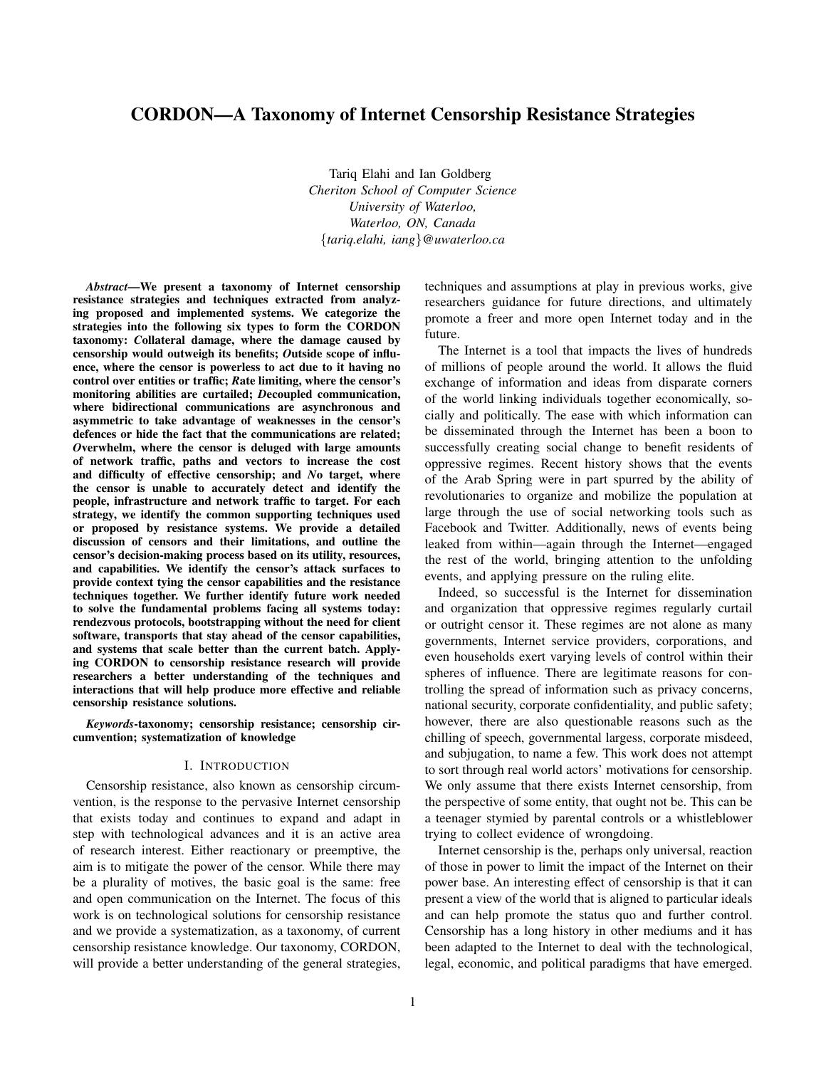# CORDON—A Taxonomy of Internet Censorship Resistance Strategies

Tariq Elahi and Ian Goldberg *Cheriton School of Computer Science University of Waterloo, Waterloo, ON, Canada* {*tariq.elahi, iang*}*@uwaterloo.ca*

*Abstract*—We present a taxonomy of Internet censorship resistance strategies and techniques extracted from analyzing proposed and implemented systems. We categorize the strategies into the following six types to form the CORDON taxonomy: *C*ollateral damage, where the damage caused by censorship would outweigh its benefits; *O*utside scope of influence, where the censor is powerless to act due to it having no control over entities or traffic; *R*ate limiting, where the censor's monitoring abilities are curtailed; *D*ecoupled communication, where bidirectional communications are asynchronous and asymmetric to take advantage of weaknesses in the censor's defences or hide the fact that the communications are related; *O*verwhelm, where the censor is deluged with large amounts of network traffic, paths and vectors to increase the cost and difficulty of effective censorship; and *N*o target, where the censor is unable to accurately detect and identify the people, infrastructure and network traffic to target. For each strategy, we identify the common supporting techniques used or proposed by resistance systems. We provide a detailed discussion of censors and their limitations, and outline the censor's decision-making process based on its utility, resources, and capabilities. We identify the censor's attack surfaces to provide context tying the censor capabilities and the resistance techniques together. We further identify future work needed to solve the fundamental problems facing all systems today: rendezvous protocols, bootstrapping without the need for client software, transports that stay ahead of the censor capabilities, and systems that scale better than the current batch. Applying CORDON to censorship resistance research will provide researchers a better understanding of the techniques and interactions that will help produce more effective and reliable censorship resistance solutions.

*Keywords*-taxonomy; censorship resistance; censorship circumvention; systematization of knowledge

## I. INTRODUCTION

Censorship resistance, also known as censorship circumvention, is the response to the pervasive Internet censorship that exists today and continues to expand and adapt in step with technological advances and it is an active area of research interest. Either reactionary or preemptive, the aim is to mitigate the power of the censor. While there may be a plurality of motives, the basic goal is the same: free and open communication on the Internet. The focus of this work is on technological solutions for censorship resistance and we provide a systematization, as a taxonomy, of current censorship resistance knowledge. Our taxonomy, CORDON, will provide a better understanding of the general strategies, techniques and assumptions at play in previous works, give researchers guidance for future directions, and ultimately promote a freer and more open Internet today and in the future.

The Internet is a tool that impacts the lives of hundreds of millions of people around the world. It allows the fluid exchange of information and ideas from disparate corners of the world linking individuals together economically, socially and politically. The ease with which information can be disseminated through the Internet has been a boon to successfully creating social change to benefit residents of oppressive regimes. Recent history shows that the events of the Arab Spring were in part spurred by the ability of revolutionaries to organize and mobilize the population at large through the use of social networking tools such as Facebook and Twitter. Additionally, news of events being leaked from within—again through the Internet—engaged the rest of the world, bringing attention to the unfolding events, and applying pressure on the ruling elite.

Indeed, so successful is the Internet for dissemination and organization that oppressive regimes regularly curtail or outright censor it. These regimes are not alone as many governments, Internet service providers, corporations, and even households exert varying levels of control within their spheres of influence. There are legitimate reasons for controlling the spread of information such as privacy concerns, national security, corporate confidentiality, and public safety; however, there are also questionable reasons such as the chilling of speech, governmental largess, corporate misdeed, and subjugation, to name a few. This work does not attempt to sort through real world actors' motivations for censorship. We only assume that there exists Internet censorship, from the perspective of some entity, that ought not be. This can be a teenager stymied by parental controls or a whistleblower trying to collect evidence of wrongdoing.

Internet censorship is the, perhaps only universal, reaction of those in power to limit the impact of the Internet on their power base. An interesting effect of censorship is that it can present a view of the world that is aligned to particular ideals and can help promote the status quo and further control. Censorship has a long history in other mediums and it has been adapted to the Internet to deal with the technological, legal, economic, and political paradigms that have emerged.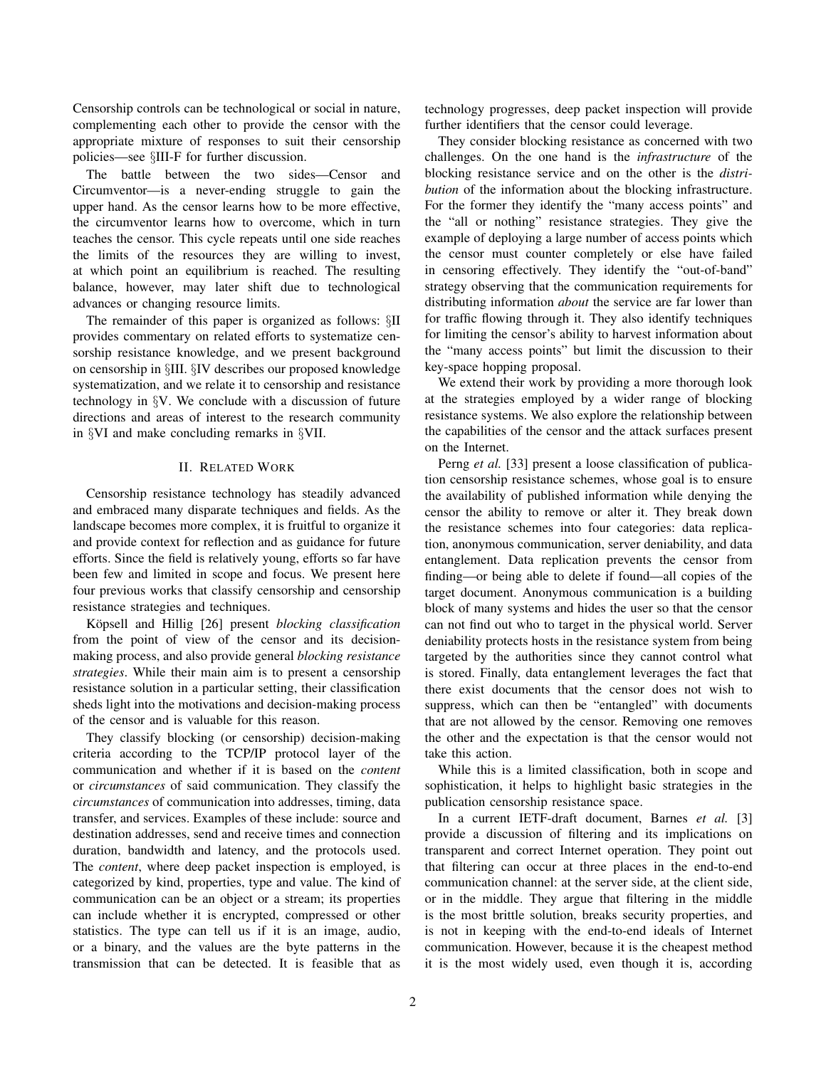Censorship controls can be technological or social in nature, complementing each other to provide the censor with the appropriate mixture of responses to suit their censorship policies—see §III-F for further discussion.

The battle between the two sides—Censor and Circumventor—is a never-ending struggle to gain the upper hand. As the censor learns how to be more effective, the circumventor learns how to overcome, which in turn teaches the censor. This cycle repeats until one side reaches the limits of the resources they are willing to invest, at which point an equilibrium is reached. The resulting balance, however, may later shift due to technological advances or changing resource limits.

The remainder of this paper is organized as follows: §II provides commentary on related efforts to systematize censorship resistance knowledge, and we present background on censorship in §III. §IV describes our proposed knowledge systematization, and we relate it to censorship and resistance technology in §V. We conclude with a discussion of future directions and areas of interest to the research community in §VI and make concluding remarks in §VII.

# II. RELATED WORK

Censorship resistance technology has steadily advanced and embraced many disparate techniques and fields. As the landscape becomes more complex, it is fruitful to organize it and provide context for reflection and as guidance for future efforts. Since the field is relatively young, efforts so far have been few and limited in scope and focus. We present here four previous works that classify censorship and censorship resistance strategies and techniques.

Köpsell and Hillig [26] present *blocking classification* from the point of view of the censor and its decisionmaking process, and also provide general *blocking resistance strategies*. While their main aim is to present a censorship resistance solution in a particular setting, their classification sheds light into the motivations and decision-making process of the censor and is valuable for this reason.

They classify blocking (or censorship) decision-making criteria according to the TCP/IP protocol layer of the communication and whether if it is based on the *content* or *circumstances* of said communication. They classify the *circumstances* of communication into addresses, timing, data transfer, and services. Examples of these include: source and destination addresses, send and receive times and connection duration, bandwidth and latency, and the protocols used. The *content*, where deep packet inspection is employed, is categorized by kind, properties, type and value. The kind of communication can be an object or a stream; its properties can include whether it is encrypted, compressed or other statistics. The type can tell us if it is an image, audio, or a binary, and the values are the byte patterns in the transmission that can be detected. It is feasible that as technology progresses, deep packet inspection will provide further identifiers that the censor could leverage.

They consider blocking resistance as concerned with two challenges. On the one hand is the *infrastructure* of the blocking resistance service and on the other is the *distribution* of the information about the blocking infrastructure. For the former they identify the "many access points" and the "all or nothing" resistance strategies. They give the example of deploying a large number of access points which the censor must counter completely or else have failed in censoring effectively. They identify the "out-of-band" strategy observing that the communication requirements for distributing information *about* the service are far lower than for traffic flowing through it. They also identify techniques for limiting the censor's ability to harvest information about the "many access points" but limit the discussion to their key-space hopping proposal.

We extend their work by providing a more thorough look at the strategies employed by a wider range of blocking resistance systems. We also explore the relationship between the capabilities of the censor and the attack surfaces present on the Internet.

Perng *et al.* [33] present a loose classification of publication censorship resistance schemes, whose goal is to ensure the availability of published information while denying the censor the ability to remove or alter it. They break down the resistance schemes into four categories: data replication, anonymous communication, server deniability, and data entanglement. Data replication prevents the censor from finding—or being able to delete if found—all copies of the target document. Anonymous communication is a building block of many systems and hides the user so that the censor can not find out who to target in the physical world. Server deniability protects hosts in the resistance system from being targeted by the authorities since they cannot control what is stored. Finally, data entanglement leverages the fact that there exist documents that the censor does not wish to suppress, which can then be "entangled" with documents that are not allowed by the censor. Removing one removes the other and the expectation is that the censor would not take this action.

While this is a limited classification, both in scope and sophistication, it helps to highlight basic strategies in the publication censorship resistance space.

In a current IETF-draft document, Barnes *et al.* [3] provide a discussion of filtering and its implications on transparent and correct Internet operation. They point out that filtering can occur at three places in the end-to-end communication channel: at the server side, at the client side, or in the middle. They argue that filtering in the middle is the most brittle solution, breaks security properties, and is not in keeping with the end-to-end ideals of Internet communication. However, because it is the cheapest method it is the most widely used, even though it is, according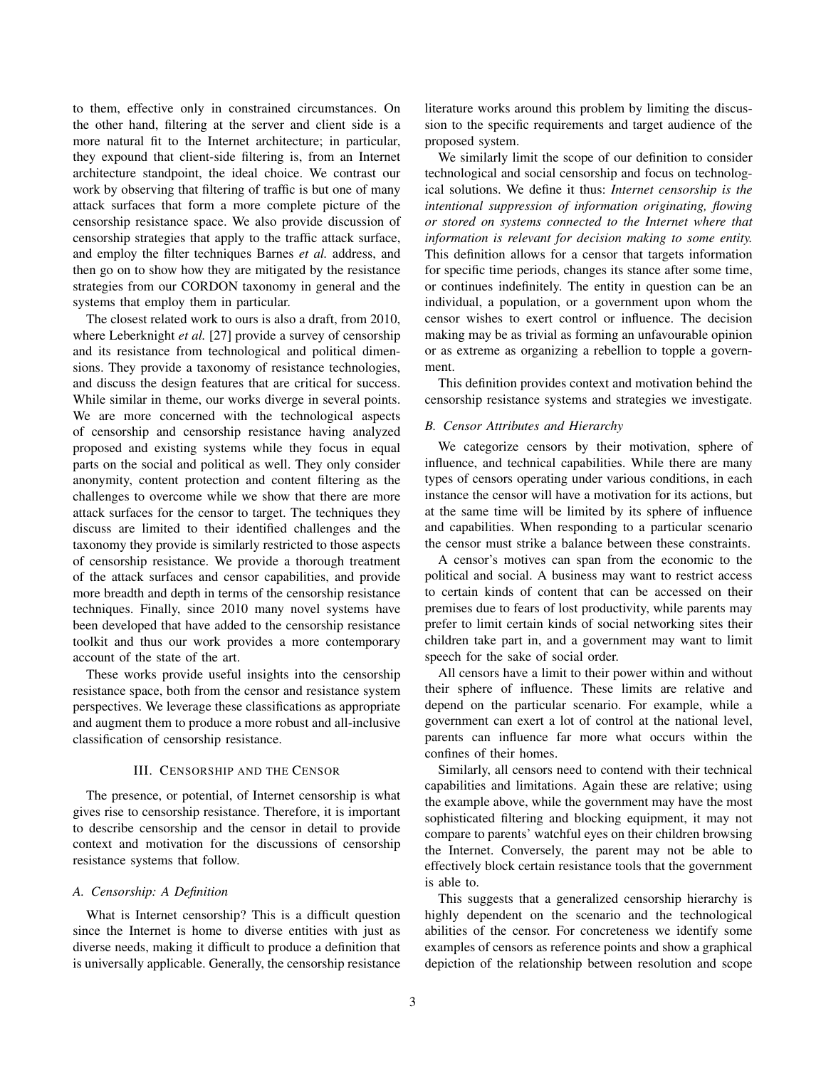to them, effective only in constrained circumstances. On the other hand, filtering at the server and client side is a more natural fit to the Internet architecture; in particular, they expound that client-side filtering is, from an Internet architecture standpoint, the ideal choice. We contrast our work by observing that filtering of traffic is but one of many attack surfaces that form a more complete picture of the censorship resistance space. We also provide discussion of censorship strategies that apply to the traffic attack surface, and employ the filter techniques Barnes *et al.* address, and then go on to show how they are mitigated by the resistance strategies from our CORDON taxonomy in general and the systems that employ them in particular.

The closest related work to ours is also a draft, from 2010, where Leberknight *et al.* [27] provide a survey of censorship and its resistance from technological and political dimensions. They provide a taxonomy of resistance technologies, and discuss the design features that are critical for success. While similar in theme, our works diverge in several points. We are more concerned with the technological aspects of censorship and censorship resistance having analyzed proposed and existing systems while they focus in equal parts on the social and political as well. They only consider anonymity, content protection and content filtering as the challenges to overcome while we show that there are more attack surfaces for the censor to target. The techniques they discuss are limited to their identified challenges and the taxonomy they provide is similarly restricted to those aspects of censorship resistance. We provide a thorough treatment of the attack surfaces and censor capabilities, and provide more breadth and depth in terms of the censorship resistance techniques. Finally, since 2010 many novel systems have been developed that have added to the censorship resistance toolkit and thus our work provides a more contemporary account of the state of the art.

These works provide useful insights into the censorship resistance space, both from the censor and resistance system perspectives. We leverage these classifications as appropriate and augment them to produce a more robust and all-inclusive classification of censorship resistance.

## III. CENSORSHIP AND THE CENSOR

The presence, or potential, of Internet censorship is what gives rise to censorship resistance. Therefore, it is important to describe censorship and the censor in detail to provide context and motivation for the discussions of censorship resistance systems that follow.

#### *A. Censorship: A Definition*

What is Internet censorship? This is a difficult question since the Internet is home to diverse entities with just as diverse needs, making it difficult to produce a definition that is universally applicable. Generally, the censorship resistance literature works around this problem by limiting the discussion to the specific requirements and target audience of the proposed system.

We similarly limit the scope of our definition to consider technological and social censorship and focus on technological solutions. We define it thus: *Internet censorship is the intentional suppression of information originating, flowing or stored on systems connected to the Internet where that information is relevant for decision making to some entity.* This definition allows for a censor that targets information for specific time periods, changes its stance after some time, or continues indefinitely. The entity in question can be an individual, a population, or a government upon whom the censor wishes to exert control or influence. The decision making may be as trivial as forming an unfavourable opinion or as extreme as organizing a rebellion to topple a government.

This definition provides context and motivation behind the censorship resistance systems and strategies we investigate.

#### *B. Censor Attributes and Hierarchy*

We categorize censors by their motivation, sphere of influence, and technical capabilities. While there are many types of censors operating under various conditions, in each instance the censor will have a motivation for its actions, but at the same time will be limited by its sphere of influence and capabilities. When responding to a particular scenario the censor must strike a balance between these constraints.

A censor's motives can span from the economic to the political and social. A business may want to restrict access to certain kinds of content that can be accessed on their premises due to fears of lost productivity, while parents may prefer to limit certain kinds of social networking sites their children take part in, and a government may want to limit speech for the sake of social order.

All censors have a limit to their power within and without their sphere of influence. These limits are relative and depend on the particular scenario. For example, while a government can exert a lot of control at the national level, parents can influence far more what occurs within the confines of their homes.

Similarly, all censors need to contend with their technical capabilities and limitations. Again these are relative; using the example above, while the government may have the most sophisticated filtering and blocking equipment, it may not compare to parents' watchful eyes on their children browsing the Internet. Conversely, the parent may not be able to effectively block certain resistance tools that the government is able to.

This suggests that a generalized censorship hierarchy is highly dependent on the scenario and the technological abilities of the censor. For concreteness we identify some examples of censors as reference points and show a graphical depiction of the relationship between resolution and scope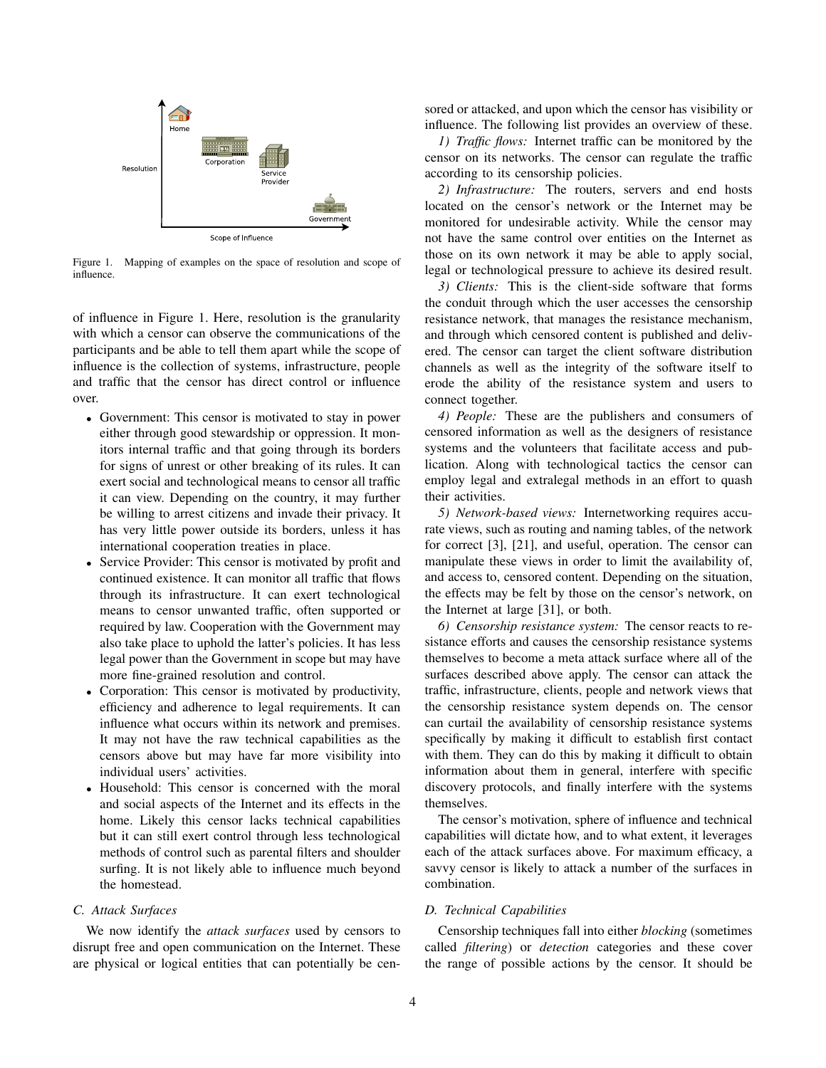

Figure 1. Mapping of examples on the space of resolution and scope of influence.

of influence in Figure 1. Here, resolution is the granularity with which a censor can observe the communications of the participants and be able to tell them apart while the scope of influence is the collection of systems, infrastructure, people and traffic that the censor has direct control or influence over.

- Government: This censor is motivated to stay in power either through good stewardship or oppression. It monitors internal traffic and that going through its borders for signs of unrest or other breaking of its rules. It can exert social and technological means to censor all traffic it can view. Depending on the country, it may further be willing to arrest citizens and invade their privacy. It has very little power outside its borders, unless it has international cooperation treaties in place.
- Service Provider: This censor is motivated by profit and continued existence. It can monitor all traffic that flows through its infrastructure. It can exert technological means to censor unwanted traffic, often supported or required by law. Cooperation with the Government may also take place to uphold the latter's policies. It has less legal power than the Government in scope but may have more fine-grained resolution and control.
- Corporation: This censor is motivated by productivity, efficiency and adherence to legal requirements. It can influence what occurs within its network and premises. It may not have the raw technical capabilities as the censors above but may have far more visibility into individual users' activities.
- Household: This censor is concerned with the moral and social aspects of the Internet and its effects in the home. Likely this censor lacks technical capabilities but it can still exert control through less technological methods of control such as parental filters and shoulder surfing. It is not likely able to influence much beyond the homestead.

# *C. Attack Surfaces*

We now identify the *attack surfaces* used by censors to disrupt free and open communication on the Internet. These are physical or logical entities that can potentially be censored or attacked, and upon which the censor has visibility or influence. The following list provides an overview of these.

*1) Traffic flows:* Internet traffic can be monitored by the censor on its networks. The censor can regulate the traffic according to its censorship policies.

*2) Infrastructure:* The routers, servers and end hosts located on the censor's network or the Internet may be monitored for undesirable activity. While the censor may not have the same control over entities on the Internet as those on its own network it may be able to apply social, legal or technological pressure to achieve its desired result.

*3) Clients:* This is the client-side software that forms the conduit through which the user accesses the censorship resistance network, that manages the resistance mechanism, and through which censored content is published and delivered. The censor can target the client software distribution channels as well as the integrity of the software itself to erode the ability of the resistance system and users to connect together.

*4) People:* These are the publishers and consumers of censored information as well as the designers of resistance systems and the volunteers that facilitate access and publication. Along with technological tactics the censor can employ legal and extralegal methods in an effort to quash their activities.

*5) Network-based views:* Internetworking requires accurate views, such as routing and naming tables, of the network for correct [3], [21], and useful, operation. The censor can manipulate these views in order to limit the availability of, and access to, censored content. Depending on the situation, the effects may be felt by those on the censor's network, on the Internet at large [31], or both.

*6) Censorship resistance system:* The censor reacts to resistance efforts and causes the censorship resistance systems themselves to become a meta attack surface where all of the surfaces described above apply. The censor can attack the traffic, infrastructure, clients, people and network views that the censorship resistance system depends on. The censor can curtail the availability of censorship resistance systems specifically by making it difficult to establish first contact with them. They can do this by making it difficult to obtain information about them in general, interfere with specific discovery protocols, and finally interfere with the systems themselves.

The censor's motivation, sphere of influence and technical capabilities will dictate how, and to what extent, it leverages each of the attack surfaces above. For maximum efficacy, a savvy censor is likely to attack a number of the surfaces in combination.

#### *D. Technical Capabilities*

Censorship techniques fall into either *blocking* (sometimes called *filtering*) or *detection* categories and these cover the range of possible actions by the censor. It should be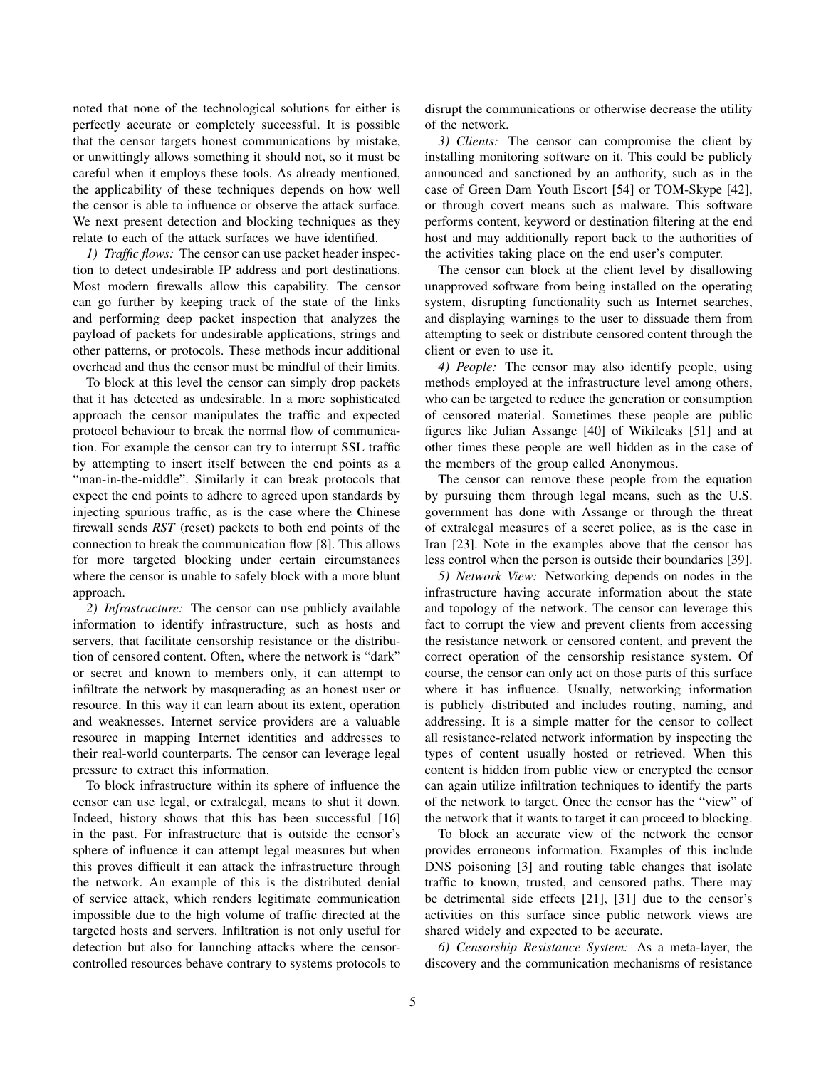noted that none of the technological solutions for either is perfectly accurate or completely successful. It is possible that the censor targets honest communications by mistake, or unwittingly allows something it should not, so it must be careful when it employs these tools. As already mentioned, the applicability of these techniques depends on how well the censor is able to influence or observe the attack surface. We next present detection and blocking techniques as they relate to each of the attack surfaces we have identified.

*1) Traffic flows:* The censor can use packet header inspection to detect undesirable IP address and port destinations. Most modern firewalls allow this capability. The censor can go further by keeping track of the state of the links and performing deep packet inspection that analyzes the payload of packets for undesirable applications, strings and other patterns, or protocols. These methods incur additional overhead and thus the censor must be mindful of their limits.

To block at this level the censor can simply drop packets that it has detected as undesirable. In a more sophisticated approach the censor manipulates the traffic and expected protocol behaviour to break the normal flow of communication. For example the censor can try to interrupt SSL traffic by attempting to insert itself between the end points as a "man-in-the-middle". Similarly it can break protocols that expect the end points to adhere to agreed upon standards by injecting spurious traffic, as is the case where the Chinese firewall sends *RST* (reset) packets to both end points of the connection to break the communication flow [8]. This allows for more targeted blocking under certain circumstances where the censor is unable to safely block with a more blunt approach.

*2) Infrastructure:* The censor can use publicly available information to identify infrastructure, such as hosts and servers, that facilitate censorship resistance or the distribution of censored content. Often, where the network is "dark" or secret and known to members only, it can attempt to infiltrate the network by masquerading as an honest user or resource. In this way it can learn about its extent, operation and weaknesses. Internet service providers are a valuable resource in mapping Internet identities and addresses to their real-world counterparts. The censor can leverage legal pressure to extract this information.

To block infrastructure within its sphere of influence the censor can use legal, or extralegal, means to shut it down. Indeed, history shows that this has been successful [16] in the past. For infrastructure that is outside the censor's sphere of influence it can attempt legal measures but when this proves difficult it can attack the infrastructure through the network. An example of this is the distributed denial of service attack, which renders legitimate communication impossible due to the high volume of traffic directed at the targeted hosts and servers. Infiltration is not only useful for detection but also for launching attacks where the censorcontrolled resources behave contrary to systems protocols to disrupt the communications or otherwise decrease the utility of the network.

*3) Clients:* The censor can compromise the client by installing monitoring software on it. This could be publicly announced and sanctioned by an authority, such as in the case of Green Dam Youth Escort [54] or TOM-Skype [42], or through covert means such as malware. This software performs content, keyword or destination filtering at the end host and may additionally report back to the authorities of the activities taking place on the end user's computer.

The censor can block at the client level by disallowing unapproved software from being installed on the operating system, disrupting functionality such as Internet searches, and displaying warnings to the user to dissuade them from attempting to seek or distribute censored content through the client or even to use it.

*4) People:* The censor may also identify people, using methods employed at the infrastructure level among others, who can be targeted to reduce the generation or consumption of censored material. Sometimes these people are public figures like Julian Assange [40] of Wikileaks [51] and at other times these people are well hidden as in the case of the members of the group called Anonymous.

The censor can remove these people from the equation by pursuing them through legal means, such as the U.S. government has done with Assange or through the threat of extralegal measures of a secret police, as is the case in Iran [23]. Note in the examples above that the censor has less control when the person is outside their boundaries [39].

*5) Network View:* Networking depends on nodes in the infrastructure having accurate information about the state and topology of the network. The censor can leverage this fact to corrupt the view and prevent clients from accessing the resistance network or censored content, and prevent the correct operation of the censorship resistance system. Of course, the censor can only act on those parts of this surface where it has influence. Usually, networking information is publicly distributed and includes routing, naming, and addressing. It is a simple matter for the censor to collect all resistance-related network information by inspecting the types of content usually hosted or retrieved. When this content is hidden from public view or encrypted the censor can again utilize infiltration techniques to identify the parts of the network to target. Once the censor has the "view" of the network that it wants to target it can proceed to blocking.

To block an accurate view of the network the censor provides erroneous information. Examples of this include DNS poisoning [3] and routing table changes that isolate traffic to known, trusted, and censored paths. There may be detrimental side effects [21], [31] due to the censor's activities on this surface since public network views are shared widely and expected to be accurate.

*6) Censorship Resistance System:* As a meta-layer, the discovery and the communication mechanisms of resistance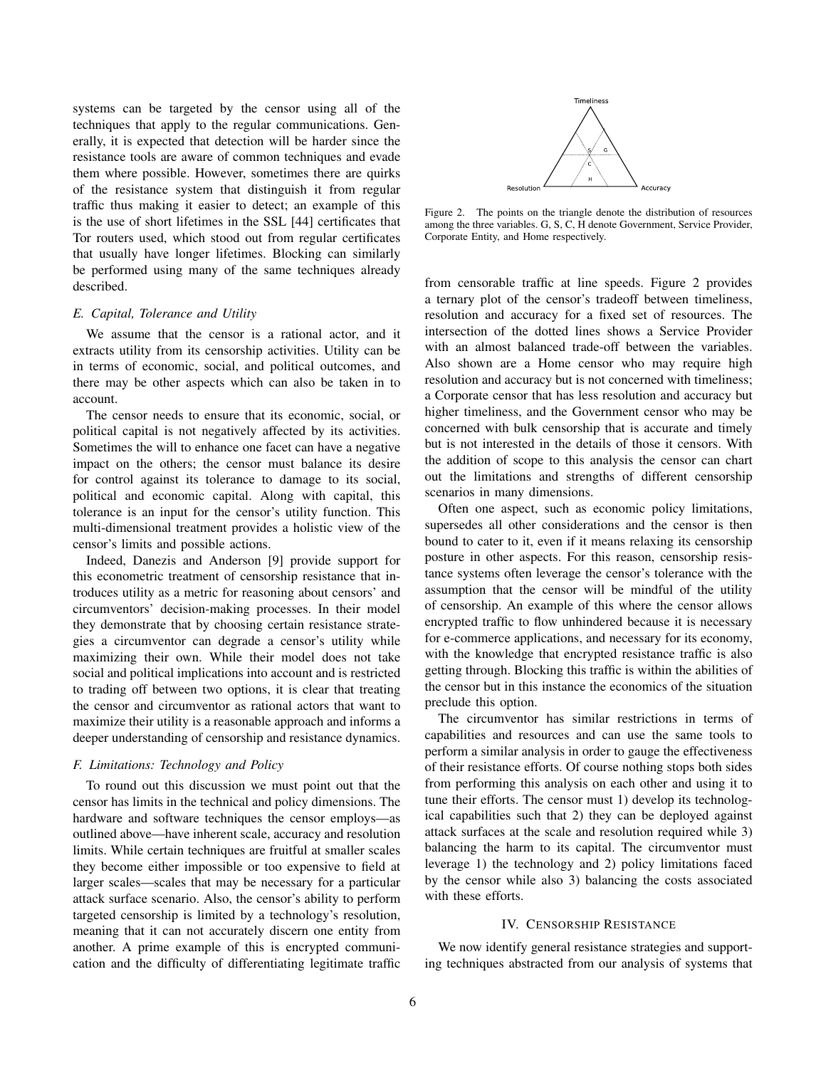systems can be targeted by the censor using all of the techniques that apply to the regular communications. Generally, it is expected that detection will be harder since the resistance tools are aware of common techniques and evade them where possible. However, sometimes there are quirks of the resistance system that distinguish it from regular traffic thus making it easier to detect; an example of this is the use of short lifetimes in the SSL [44] certificates that Tor routers used, which stood out from regular certificates that usually have longer lifetimes. Blocking can similarly be performed using many of the same techniques already described.

#### *E. Capital, Tolerance and Utility*

We assume that the censor is a rational actor, and it extracts utility from its censorship activities. Utility can be in terms of economic, social, and political outcomes, and there may be other aspects which can also be taken in to account.

The censor needs to ensure that its economic, social, or political capital is not negatively affected by its activities. Sometimes the will to enhance one facet can have a negative impact on the others; the censor must balance its desire for control against its tolerance to damage to its social, political and economic capital. Along with capital, this tolerance is an input for the censor's utility function. This multi-dimensional treatment provides a holistic view of the censor's limits and possible actions.

Indeed, Danezis and Anderson [9] provide support for this econometric treatment of censorship resistance that introduces utility as a metric for reasoning about censors' and circumventors' decision-making processes. In their model they demonstrate that by choosing certain resistance strategies a circumventor can degrade a censor's utility while maximizing their own. While their model does not take social and political implications into account and is restricted to trading off between two options, it is clear that treating the censor and circumventor as rational actors that want to maximize their utility is a reasonable approach and informs a deeper understanding of censorship and resistance dynamics.

## *F. Limitations: Technology and Policy*

To round out this discussion we must point out that the censor has limits in the technical and policy dimensions. The hardware and software techniques the censor employs—as outlined above—have inherent scale, accuracy and resolution limits. While certain techniques are fruitful at smaller scales they become either impossible or too expensive to field at larger scales—scales that may be necessary for a particular attack surface scenario. Also, the censor's ability to perform targeted censorship is limited by a technology's resolution, meaning that it can not accurately discern one entity from another. A prime example of this is encrypted communication and the difficulty of differentiating legitimate traffic



Figure 2. The points on the triangle denote the distribution of resources among the three variables. G, S, C, H denote Government, Service Provider, Corporate Entity, and Home respectively.

from censorable traffic at line speeds. Figure 2 provides a ternary plot of the censor's tradeoff between timeliness, resolution and accuracy for a fixed set of resources. The intersection of the dotted lines shows a Service Provider with an almost balanced trade-off between the variables. Also shown are a Home censor who may require high resolution and accuracy but is not concerned with timeliness; a Corporate censor that has less resolution and accuracy but higher timeliness, and the Government censor who may be concerned with bulk censorship that is accurate and timely but is not interested in the details of those it censors. With the addition of scope to this analysis the censor can chart out the limitations and strengths of different censorship scenarios in many dimensions.

Often one aspect, such as economic policy limitations, supersedes all other considerations and the censor is then bound to cater to it, even if it means relaxing its censorship posture in other aspects. For this reason, censorship resistance systems often leverage the censor's tolerance with the assumption that the censor will be mindful of the utility of censorship. An example of this where the censor allows encrypted traffic to flow unhindered because it is necessary for e-commerce applications, and necessary for its economy, with the knowledge that encrypted resistance traffic is also getting through. Blocking this traffic is within the abilities of the censor but in this instance the economics of the situation preclude this option.

The circumventor has similar restrictions in terms of capabilities and resources and can use the same tools to perform a similar analysis in order to gauge the effectiveness of their resistance efforts. Of course nothing stops both sides from performing this analysis on each other and using it to tune their efforts. The censor must 1) develop its technological capabilities such that 2) they can be deployed against attack surfaces at the scale and resolution required while 3) balancing the harm to its capital. The circumventor must leverage 1) the technology and 2) policy limitations faced by the censor while also 3) balancing the costs associated with these efforts.

#### IV. CENSORSHIP RESISTANCE

We now identify general resistance strategies and supporting techniques abstracted from our analysis of systems that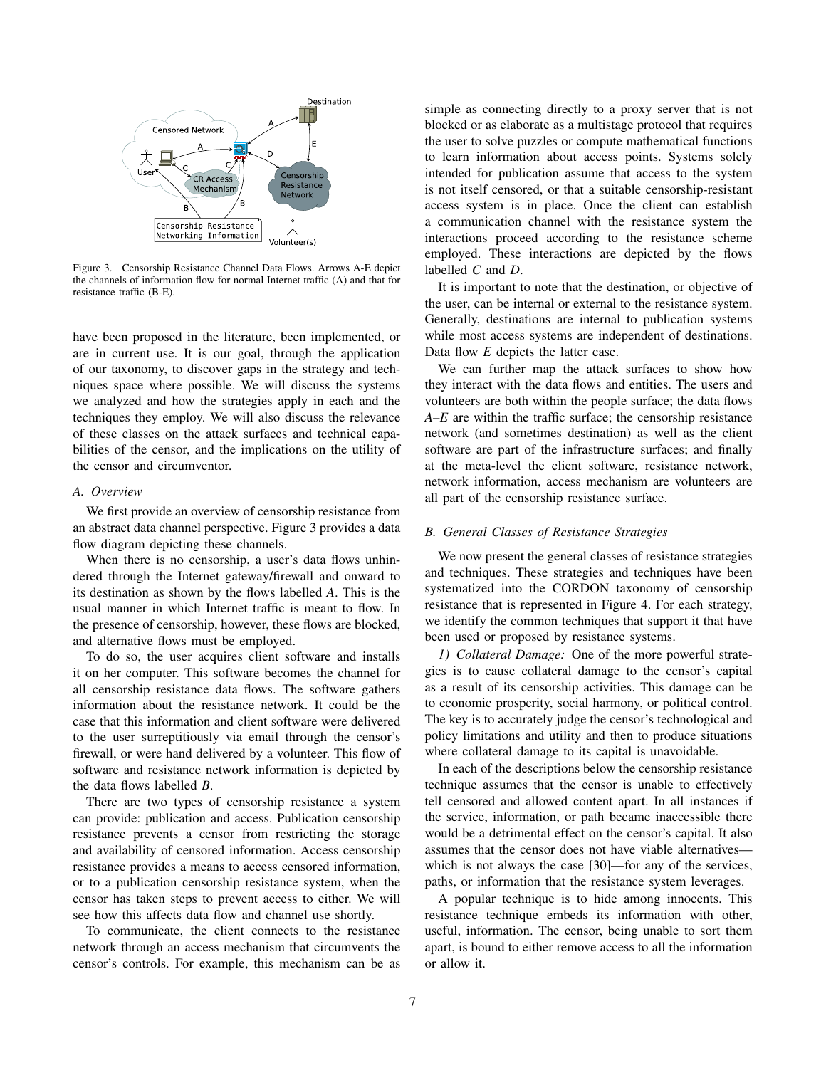

Figure 3. Censorship Resistance Channel Data Flows. Arrows A-E depict the channels of information flow for normal Internet traffic (A) and that for resistance traffic (B-E).

have been proposed in the literature, been implemented, or are in current use. It is our goal, through the application of our taxonomy, to discover gaps in the strategy and techniques space where possible. We will discuss the systems we analyzed and how the strategies apply in each and the techniques they employ. We will also discuss the relevance of these classes on the attack surfaces and technical capabilities of the censor, and the implications on the utility of the censor and circumventor.

## *A. Overview*

We first provide an overview of censorship resistance from an abstract data channel perspective. Figure 3 provides a data flow diagram depicting these channels.

When there is no censorship, a user's data flows unhindered through the Internet gateway/firewall and onward to its destination as shown by the flows labelled *A*. This is the usual manner in which Internet traffic is meant to flow. In the presence of censorship, however, these flows are blocked, and alternative flows must be employed.

To do so, the user acquires client software and installs it on her computer. This software becomes the channel for all censorship resistance data flows. The software gathers information about the resistance network. It could be the case that this information and client software were delivered to the user surreptitiously via email through the censor's firewall, or were hand delivered by a volunteer. This flow of software and resistance network information is depicted by the data flows labelled *B*.

There are two types of censorship resistance a system can provide: publication and access. Publication censorship resistance prevents a censor from restricting the storage and availability of censored information. Access censorship resistance provides a means to access censored information, or to a publication censorship resistance system, when the censor has taken steps to prevent access to either. We will see how this affects data flow and channel use shortly.

To communicate, the client connects to the resistance network through an access mechanism that circumvents the censor's controls. For example, this mechanism can be as simple as connecting directly to a proxy server that is not blocked or as elaborate as a multistage protocol that requires the user to solve puzzles or compute mathematical functions to learn information about access points. Systems solely intended for publication assume that access to the system is not itself censored, or that a suitable censorship-resistant access system is in place. Once the client can establish a communication channel with the resistance system the interactions proceed according to the resistance scheme employed. These interactions are depicted by the flows labelled *C* and *D*.

It is important to note that the destination, or objective of the user, can be internal or external to the resistance system. Generally, destinations are internal to publication systems while most access systems are independent of destinations. Data flow *E* depicts the latter case.

We can further map the attack surfaces to show how they interact with the data flows and entities. The users and volunteers are both within the people surface; the data flows *A–E* are within the traffic surface; the censorship resistance network (and sometimes destination) as well as the client software are part of the infrastructure surfaces; and finally at the meta-level the client software, resistance network, network information, access mechanism are volunteers are all part of the censorship resistance surface.

#### *B. General Classes of Resistance Strategies*

We now present the general classes of resistance strategies and techniques. These strategies and techniques have been systematized into the CORDON taxonomy of censorship resistance that is represented in Figure 4. For each strategy, we identify the common techniques that support it that have been used or proposed by resistance systems.

*1) Collateral Damage:* One of the more powerful strategies is to cause collateral damage to the censor's capital as a result of its censorship activities. This damage can be to economic prosperity, social harmony, or political control. The key is to accurately judge the censor's technological and policy limitations and utility and then to produce situations where collateral damage to its capital is unavoidable.

In each of the descriptions below the censorship resistance technique assumes that the censor is unable to effectively tell censored and allowed content apart. In all instances if the service, information, or path became inaccessible there would be a detrimental effect on the censor's capital. It also assumes that the censor does not have viable alternatives which is not always the case [30]—for any of the services, paths, or information that the resistance system leverages.

A popular technique is to hide among innocents. This resistance technique embeds its information with other, useful, information. The censor, being unable to sort them apart, is bound to either remove access to all the information or allow it.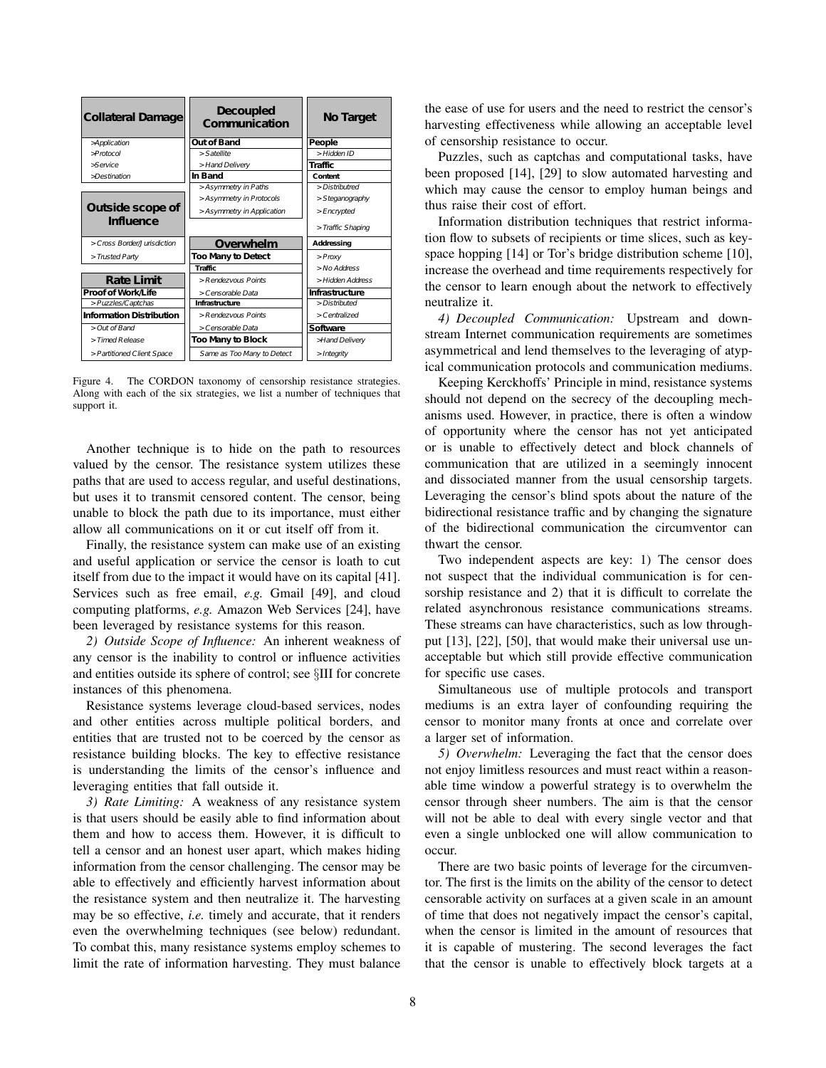| <b>Collateral Damage</b>        | <b>Decoupled</b><br>Communication | No Target             |  |  |
|---------------------------------|-----------------------------------|-----------------------|--|--|
| Application                     | <b>Out of Band</b>                | People                |  |  |
| $\Rightarrow$ Protocol          | $>$ Satellite                     | >Hidden ID            |  |  |
| >Service                        | > Hand Delivery                   | Traffic               |  |  |
| $\Rightarrow$ Destination       | In Band                           | Content               |  |  |
|                                 | >Asymmetry in Paths               | > Distributred        |  |  |
|                                 | >Asymmetry in Protocols           | > Steganography       |  |  |
| Outside scope of                | >Asymmetry in Application         | $>$ Encrypted         |  |  |
| <b>Influence</b>                |                                   | >Traffic Shaping      |  |  |
| > Cross Border/J urisdiction    | Overwhelm                         | <b>Addressing</b>     |  |  |
| > Trusted Party                 | <b>Too Many to Detect</b>         | $>$ Proxy             |  |  |
|                                 | <b>Traffic</b>                    | $>$ No Address        |  |  |
| <b>Rate Limit</b>               | $>$ Rendezvous Points             | >Hidden Address       |  |  |
| <b>Proof of Work/Life</b>       | > Censorable Data                 | <b>Infrastructure</b> |  |  |
| >Puzzles/Captchas               | Infrastructure                    | >Distributed          |  |  |
| <b>Information Distribution</b> | $>$ Rendezvous Points             | > Centralized         |  |  |
| $>$ Out of Band                 | > Censorable Data                 | Software              |  |  |
| >Timed Release                  | Too Many to Block                 | <b>Hand Delivery</b>  |  |  |
| >Partitioned Client Space       | Same as Too Many to Detect        | > Integrity           |  |  |

Figure 4. The CORDON taxonomy of censorship resistance strategies. Along with each of the six strategies, we list a number of techniques that support it.

Another technique is to hide on the path to resources valued by the censor. The resistance system utilizes these paths that are used to access regular, and useful destinations, but uses it to transmit censored content. The censor, being unable to block the path due to its importance, must either allow all communications on it or cut itself off from it.

Finally, the resistance system can make use of an existing and useful application or service the censor is loath to cut itself from due to the impact it would have on its capital [41]. Services such as free email, *e.g.* Gmail [49], and cloud computing platforms, *e.g.* Amazon Web Services [24], have been leveraged by resistance systems for this reason.

*2) Outside Scope of Influence:* An inherent weakness of any censor is the inability to control or influence activities and entities outside its sphere of control; see §III for concrete instances of this phenomena.

Resistance systems leverage cloud-based services, nodes and other entities across multiple political borders, and entities that are trusted not to be coerced by the censor as resistance building blocks. The key to effective resistance is understanding the limits of the censor's influence and leveraging entities that fall outside it.

*3) Rate Limiting:* A weakness of any resistance system is that users should be easily able to find information about them and how to access them. However, it is difficult to tell a censor and an honest user apart, which makes hiding information from the censor challenging. The censor may be able to effectively and efficiently harvest information about the resistance system and then neutralize it. The harvesting may be so effective, *i.e.* timely and accurate, that it renders even the overwhelming techniques (see below) redundant. To combat this, many resistance systems employ schemes to limit the rate of information harvesting. They must balance the ease of use for users and the need to restrict the censor's harvesting effectiveness while allowing an acceptable level of censorship resistance to occur.

Puzzles, such as captchas and computational tasks, have been proposed [14], [29] to slow automated harvesting and which may cause the censor to employ human beings and thus raise their cost of effort.

Information distribution techniques that restrict information flow to subsets of recipients or time slices, such as keyspace hopping [14] or Tor's bridge distribution scheme [10], increase the overhead and time requirements respectively for the censor to learn enough about the network to effectively neutralize it.

*4) Decoupled Communication:* Upstream and downstream Internet communication requirements are sometimes asymmetrical and lend themselves to the leveraging of atypical communication protocols and communication mediums.

Keeping Kerckhoffs' Principle in mind, resistance systems should not depend on the secrecy of the decoupling mechanisms used. However, in practice, there is often a window of opportunity where the censor has not yet anticipated or is unable to effectively detect and block channels of communication that are utilized in a seemingly innocent and dissociated manner from the usual censorship targets. Leveraging the censor's blind spots about the nature of the bidirectional resistance traffic and by changing the signature of the bidirectional communication the circumventor can thwart the censor.

Two independent aspects are key: 1) The censor does not suspect that the individual communication is for censorship resistance and 2) that it is difficult to correlate the related asynchronous resistance communications streams. These streams can have characteristics, such as low throughput [13], [22], [50], that would make their universal use unacceptable but which still provide effective communication for specific use cases.

Simultaneous use of multiple protocols and transport mediums is an extra layer of confounding requiring the censor to monitor many fronts at once and correlate over a larger set of information.

*5) Overwhelm:* Leveraging the fact that the censor does not enjoy limitless resources and must react within a reasonable time window a powerful strategy is to overwhelm the censor through sheer numbers. The aim is that the censor will not be able to deal with every single vector and that even a single unblocked one will allow communication to occur.

There are two basic points of leverage for the circumventor. The first is the limits on the ability of the censor to detect censorable activity on surfaces at a given scale in an amount of time that does not negatively impact the censor's capital, when the censor is limited in the amount of resources that it is capable of mustering. The second leverages the fact that the censor is unable to effectively block targets at a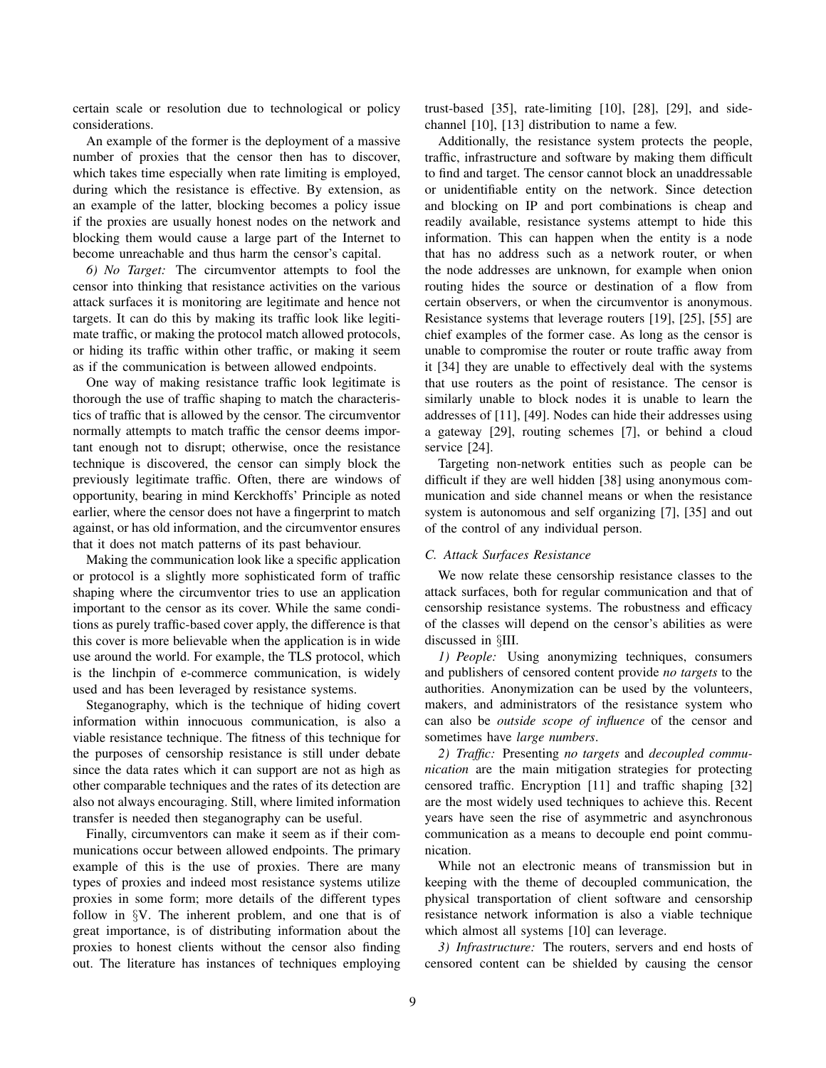certain scale or resolution due to technological or policy considerations.

An example of the former is the deployment of a massive number of proxies that the censor then has to discover, which takes time especially when rate limiting is employed, during which the resistance is effective. By extension, as an example of the latter, blocking becomes a policy issue if the proxies are usually honest nodes on the network and blocking them would cause a large part of the Internet to become unreachable and thus harm the censor's capital.

*6) No Target:* The circumventor attempts to fool the censor into thinking that resistance activities on the various attack surfaces it is monitoring are legitimate and hence not targets. It can do this by making its traffic look like legitimate traffic, or making the protocol match allowed protocols, or hiding its traffic within other traffic, or making it seem as if the communication is between allowed endpoints.

One way of making resistance traffic look legitimate is thorough the use of traffic shaping to match the characteristics of traffic that is allowed by the censor. The circumventor normally attempts to match traffic the censor deems important enough not to disrupt; otherwise, once the resistance technique is discovered, the censor can simply block the previously legitimate traffic. Often, there are windows of opportunity, bearing in mind Kerckhoffs' Principle as noted earlier, where the censor does not have a fingerprint to match against, or has old information, and the circumventor ensures that it does not match patterns of its past behaviour.

Making the communication look like a specific application or protocol is a slightly more sophisticated form of traffic shaping where the circumventor tries to use an application important to the censor as its cover. While the same conditions as purely traffic-based cover apply, the difference is that this cover is more believable when the application is in wide use around the world. For example, the TLS protocol, which is the linchpin of e-commerce communication, is widely used and has been leveraged by resistance systems.

Steganography, which is the technique of hiding covert information within innocuous communication, is also a viable resistance technique. The fitness of this technique for the purposes of censorship resistance is still under debate since the data rates which it can support are not as high as other comparable techniques and the rates of its detection are also not always encouraging. Still, where limited information transfer is needed then steganography can be useful.

Finally, circumventors can make it seem as if their communications occur between allowed endpoints. The primary example of this is the use of proxies. There are many types of proxies and indeed most resistance systems utilize proxies in some form; more details of the different types follow in §V. The inherent problem, and one that is of great importance, is of distributing information about the proxies to honest clients without the censor also finding out. The literature has instances of techniques employing trust-based [35], rate-limiting [10], [28], [29], and sidechannel [10], [13] distribution to name a few.

Additionally, the resistance system protects the people, traffic, infrastructure and software by making them difficult to find and target. The censor cannot block an unaddressable or unidentifiable entity on the network. Since detection and blocking on IP and port combinations is cheap and readily available, resistance systems attempt to hide this information. This can happen when the entity is a node that has no address such as a network router, or when the node addresses are unknown, for example when onion routing hides the source or destination of a flow from certain observers, or when the circumventor is anonymous. Resistance systems that leverage routers [19], [25], [55] are chief examples of the former case. As long as the censor is unable to compromise the router or route traffic away from it [34] they are unable to effectively deal with the systems that use routers as the point of resistance. The censor is similarly unable to block nodes it is unable to learn the addresses of [11], [49]. Nodes can hide their addresses using a gateway [29], routing schemes [7], or behind a cloud service [24].

Targeting non-network entities such as people can be difficult if they are well hidden [38] using anonymous communication and side channel means or when the resistance system is autonomous and self organizing [7], [35] and out of the control of any individual person.

#### *C. Attack Surfaces Resistance*

We now relate these censorship resistance classes to the attack surfaces, both for regular communication and that of censorship resistance systems. The robustness and efficacy of the classes will depend on the censor's abilities as were discussed in §III.

*1) People:* Using anonymizing techniques, consumers and publishers of censored content provide *no targets* to the authorities. Anonymization can be used by the volunteers, makers, and administrators of the resistance system who can also be *outside scope of influence* of the censor and sometimes have *large numbers*.

*2) Traffic:* Presenting *no targets* and *decoupled communication* are the main mitigation strategies for protecting censored traffic. Encryption [11] and traffic shaping [32] are the most widely used techniques to achieve this. Recent years have seen the rise of asymmetric and asynchronous communication as a means to decouple end point communication.

While not an electronic means of transmission but in keeping with the theme of decoupled communication, the physical transportation of client software and censorship resistance network information is also a viable technique which almost all systems [10] can leverage.

*3) Infrastructure:* The routers, servers and end hosts of censored content can be shielded by causing the censor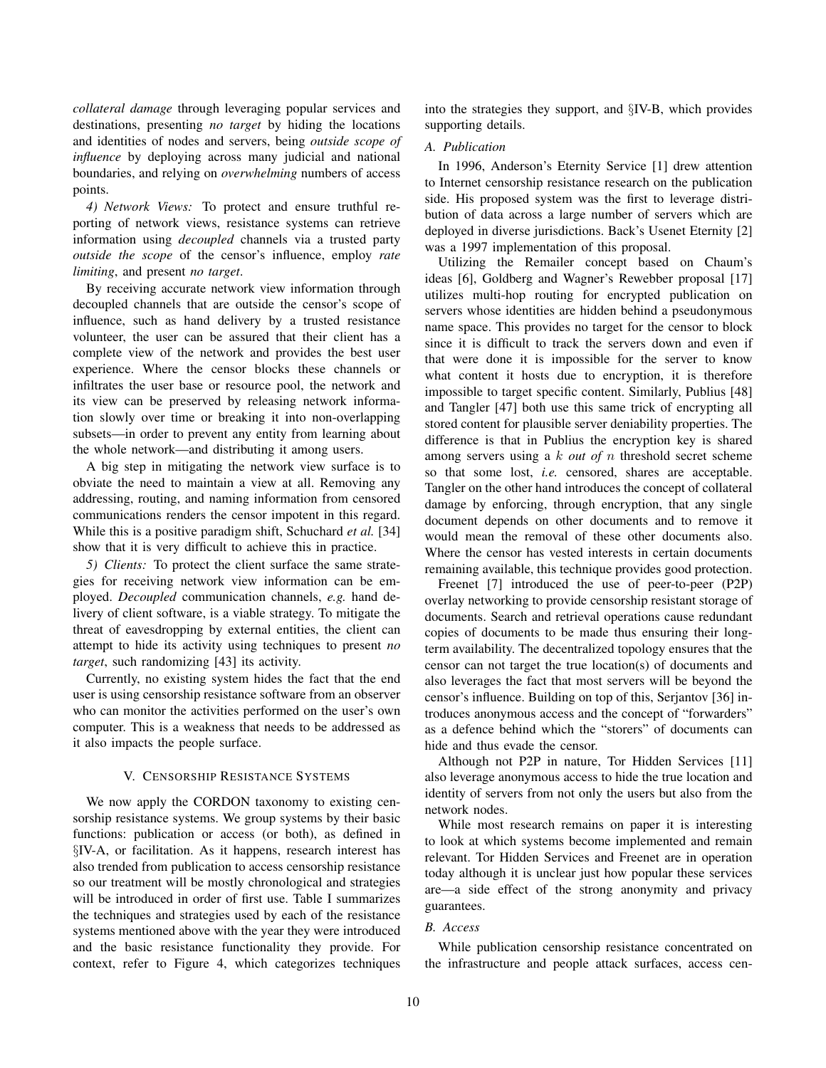*collateral damage* through leveraging popular services and destinations, presenting *no target* by hiding the locations and identities of nodes and servers, being *outside scope of influence* by deploying across many judicial and national boundaries, and relying on *overwhelming* numbers of access points.

*4) Network Views:* To protect and ensure truthful reporting of network views, resistance systems can retrieve information using *decoupled* channels via a trusted party *outside the scope* of the censor's influence, employ *rate limiting*, and present *no target*.

By receiving accurate network view information through decoupled channels that are outside the censor's scope of influence, such as hand delivery by a trusted resistance volunteer, the user can be assured that their client has a complete view of the network and provides the best user experience. Where the censor blocks these channels or infiltrates the user base or resource pool, the network and its view can be preserved by releasing network information slowly over time or breaking it into non-overlapping subsets—in order to prevent any entity from learning about the whole network—and distributing it among users.

A big step in mitigating the network view surface is to obviate the need to maintain a view at all. Removing any addressing, routing, and naming information from censored communications renders the censor impotent in this regard. While this is a positive paradigm shift, Schuchard *et al.* [34] show that it is very difficult to achieve this in practice.

*5) Clients:* To protect the client surface the same strategies for receiving network view information can be employed. *Decoupled* communication channels, *e.g.* hand delivery of client software, is a viable strategy. To mitigate the threat of eavesdropping by external entities, the client can attempt to hide its activity using techniques to present *no target*, such randomizing [43] its activity.

Currently, no existing system hides the fact that the end user is using censorship resistance software from an observer who can monitor the activities performed on the user's own computer. This is a weakness that needs to be addressed as it also impacts the people surface.

#### V. CENSORSHIP RESISTANCE SYSTEMS

We now apply the CORDON taxonomy to existing censorship resistance systems. We group systems by their basic functions: publication or access (or both), as defined in §IV-A, or facilitation. As it happens, research interest has also trended from publication to access censorship resistance so our treatment will be mostly chronological and strategies will be introduced in order of first use. Table I summarizes the techniques and strategies used by each of the resistance systems mentioned above with the year they were introduced and the basic resistance functionality they provide. For context, refer to Figure 4, which categorizes techniques into the strategies they support, and §IV-B, which provides supporting details.

#### *A. Publication*

In 1996, Anderson's Eternity Service [1] drew attention to Internet censorship resistance research on the publication side. His proposed system was the first to leverage distribution of data across a large number of servers which are deployed in diverse jurisdictions. Back's Usenet Eternity [2] was a 1997 implementation of this proposal.

Utilizing the Remailer concept based on Chaum's ideas [6], Goldberg and Wagner's Rewebber proposal [17] utilizes multi-hop routing for encrypted publication on servers whose identities are hidden behind a pseudonymous name space. This provides no target for the censor to block since it is difficult to track the servers down and even if that were done it is impossible for the server to know what content it hosts due to encryption, it is therefore impossible to target specific content. Similarly, Publius [48] and Tangler [47] both use this same trick of encrypting all stored content for plausible server deniability properties. The difference is that in Publius the encryption key is shared among servers using a k *out of* n threshold secret scheme so that some lost, *i.e.* censored, shares are acceptable. Tangler on the other hand introduces the concept of collateral damage by enforcing, through encryption, that any single document depends on other documents and to remove it would mean the removal of these other documents also. Where the censor has vested interests in certain documents remaining available, this technique provides good protection.

Freenet [7] introduced the use of peer-to-peer (P2P) overlay networking to provide censorship resistant storage of documents. Search and retrieval operations cause redundant copies of documents to be made thus ensuring their longterm availability. The decentralized topology ensures that the censor can not target the true location(s) of documents and also leverages the fact that most servers will be beyond the censor's influence. Building on top of this, Serjantov [36] introduces anonymous access and the concept of "forwarders" as a defence behind which the "storers" of documents can hide and thus evade the censor.

Although not P2P in nature, Tor Hidden Services [11] also leverage anonymous access to hide the true location and identity of servers from not only the users but also from the network nodes.

While most research remains on paper it is interesting to look at which systems become implemented and remain relevant. Tor Hidden Services and Freenet are in operation today although it is unclear just how popular these services are—a side effect of the strong anonymity and privacy guarantees.

#### *B. Access*

While publication censorship resistance concentrated on the infrastructure and people attack surfaces, access cen-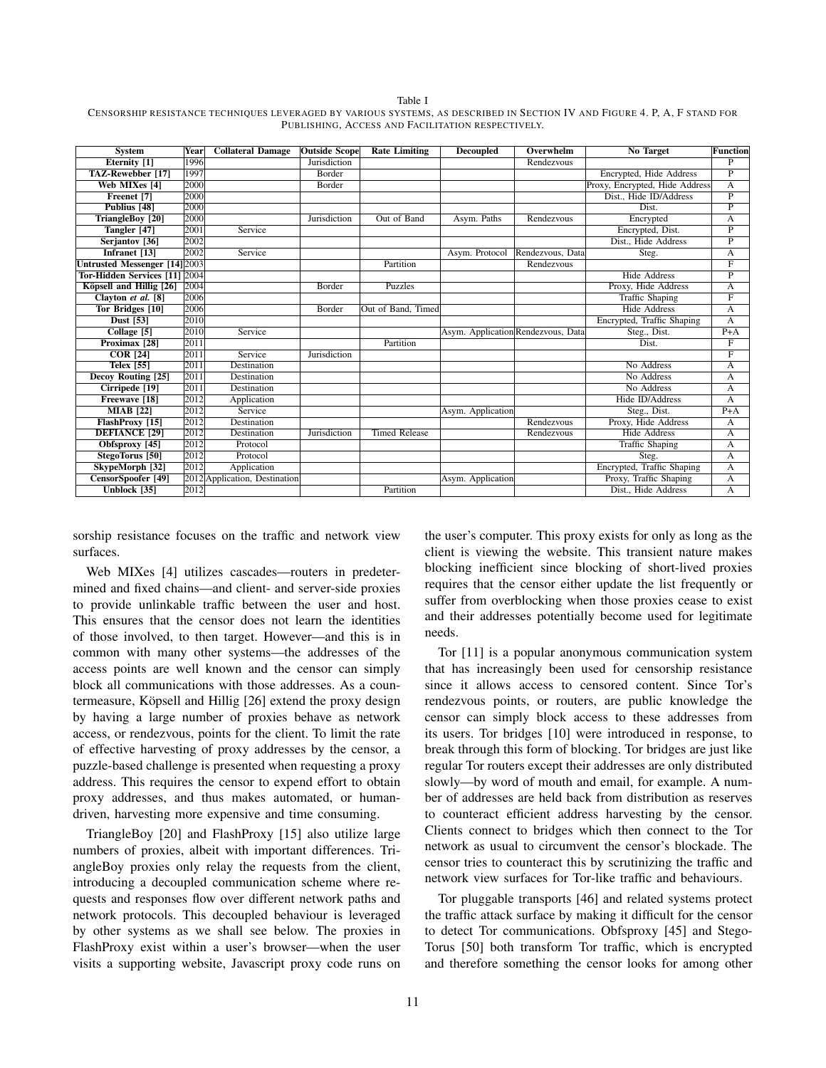Table I

CENSORSHIP RESISTANCE TECHNIQUES LEVERAGED BY VARIOUS SYSTEMS, AS DESCRIBED IN SECTION IV AND FIGURE 4. P, A, F STAND FOR PUBLISHING, ACCESS AND FACILITATION RESPECTIVELY.

| <b>System</b>                        | Year | <b>Collateral Damage</b>      | <b>Outside Scope</b> | <b>Rate Limiting</b> | <b>Decoupled</b>                   | Overwhelm        | No Target                      | <b>Function</b> |
|--------------------------------------|------|-------------------------------|----------------------|----------------------|------------------------------------|------------------|--------------------------------|-----------------|
| Eternity <sup>[1]</sup>              | 1996 |                               | <b>Jurisdiction</b>  |                      |                                    | Rendezvous       |                                | $\overline{P}$  |
| TAZ-Rewebber [17]                    | 1997 |                               | <b>Border</b>        |                      |                                    |                  | Encrypted, Hide Address        | $\overline{P}$  |
| <b>Web MIXes [4]</b>                 | 2000 |                               | Border               |                      |                                    |                  | Proxy, Encrypted, Hide Address | A               |
| Freenet [7]                          | 2000 |                               |                      |                      |                                    |                  | Dist., Hide ID/Address         | $\overline{P}$  |
| Publius [48]                         | 2000 |                               |                      |                      |                                    |                  | Dist.                          | $\overline{P}$  |
| TriangleBoy [20]                     | 2000 |                               | Jurisdiction         | Out of Band          | Asym. Paths                        | Rendezvous       | Encrypted                      | А               |
| Tangler [47]                         | 2001 | Service                       |                      |                      |                                    |                  | Encrypted, Dist.               | $\overline{P}$  |
| Serjantov <sup>[36]</sup>            | 2002 |                               |                      |                      |                                    |                  | Dist., Hide Address            | $\overline{P}$  |
| Infranet [13]                        | 2002 | Service                       |                      |                      | Asym. Protocol                     | Rendezvous, Data | Steg.                          | А               |
| <b>Untrusted Messenger [14] 2003</b> |      |                               |                      | Partition            |                                    | Rendezvous       |                                | $_{\rm F}$      |
| Tor-Hidden Services [11] 2004        |      |                               |                      |                      |                                    |                  | <b>Hide Address</b>            | P               |
| Köpsell and Hillig [26]              | 2004 |                               | Border               | Puzzles              |                                    |                  | Proxy, Hide Address            | A               |
| Clayton et al. [8]                   | 2006 |                               |                      |                      |                                    |                  | <b>Traffic Shaping</b>         | $_{\rm F}$      |
| Tor Bridges [10]                     | 2006 |                               | Border               | Out of Band, Timed   |                                    |                  | <b>Hide Address</b>            | A               |
| Dust [53]                            | 2010 |                               |                      |                      |                                    |                  | Encrypted, Traffic Shaping     | A               |
| Collage [5]                          | 2010 | Service                       |                      |                      | Asym. Application Rendezvous, Data |                  | Steg., Dist.                   | $P+A$           |
| Proximax [28]                        | 2011 |                               |                      | Partition            |                                    |                  | Dist.                          | F               |
| <b>COR</b> [24]                      | 2011 | Service                       | Jurisdiction         |                      |                                    |                  |                                | F               |
| <b>Telex [55]</b>                    | 2011 | Destination                   |                      |                      |                                    |                  | No Address                     | A               |
| <b>Decoy Routing [25]</b>            | 2011 | Destination                   |                      |                      |                                    |                  | No Address                     | А               |
| Cirripede <sup>[19]</sup>            | 2011 | Destination                   |                      |                      |                                    |                  | No Address                     | A               |
| Freewave [18]                        | 2012 | Application                   |                      |                      |                                    |                  | Hide ID/Address                | A               |
| <b>MIAB</b> [22]                     | 2012 | Service                       |                      |                      | Asym. Application                  |                  | Steg., Dist.                   | $P+A$           |
| FlashProxy [15]                      | 2012 | Destination                   |                      |                      |                                    | Rendezvous       | Proxy, Hide Address            | A               |
| <b>DEFIANCE</b> [29]                 | 2012 | Destination                   | Jurisdiction         | <b>Timed Release</b> |                                    | Rendezvous       | <b>Hide Address</b>            | А               |
| Obfsproxy [45]                       | 2012 | Protocol                      |                      |                      |                                    |                  | <b>Traffic Shaping</b>         | А               |
| StegoTorus [50]                      | 2012 | Protocol                      |                      |                      |                                    |                  | Steg.                          | A               |
| SkypeMorph [32]                      | 2012 | Application                   |                      |                      |                                    |                  | Encrypted, Traffic Shaping     | A               |
| CensorSpoofer [49]                   |      | 2012 Application, Destination |                      |                      | Asym. Application                  |                  | Proxy, Traffic Shaping         | A               |
| Unblock [35]                         | 2012 |                               |                      | Partition            |                                    |                  | Dist., Hide Address            | A               |

sorship resistance focuses on the traffic and network view surfaces.

Web MIXes [4] utilizes cascades—routers in predetermined and fixed chains—and client- and server-side proxies to provide unlinkable traffic between the user and host. This ensures that the censor does not learn the identities of those involved, to then target. However—and this is in common with many other systems—the addresses of the access points are well known and the censor can simply block all communications with those addresses. As a countermeasure, Köpsell and Hillig [26] extend the proxy design by having a large number of proxies behave as network access, or rendezvous, points for the client. To limit the rate of effective harvesting of proxy addresses by the censor, a puzzle-based challenge is presented when requesting a proxy address. This requires the censor to expend effort to obtain proxy addresses, and thus makes automated, or humandriven, harvesting more expensive and time consuming.

TriangleBoy [20] and FlashProxy [15] also utilize large numbers of proxies, albeit with important differences. TriangleBoy proxies only relay the requests from the client, introducing a decoupled communication scheme where requests and responses flow over different network paths and network protocols. This decoupled behaviour is leveraged by other systems as we shall see below. The proxies in FlashProxy exist within a user's browser—when the user visits a supporting website, Javascript proxy code runs on the user's computer. This proxy exists for only as long as the client is viewing the website. This transient nature makes blocking inefficient since blocking of short-lived proxies requires that the censor either update the list frequently or suffer from overblocking when those proxies cease to exist and their addresses potentially become used for legitimate needs.

Tor [11] is a popular anonymous communication system that has increasingly been used for censorship resistance since it allows access to censored content. Since Tor's rendezvous points, or routers, are public knowledge the censor can simply block access to these addresses from its users. Tor bridges [10] were introduced in response, to break through this form of blocking. Tor bridges are just like regular Tor routers except their addresses are only distributed slowly—by word of mouth and email, for example. A number of addresses are held back from distribution as reserves to counteract efficient address harvesting by the censor. Clients connect to bridges which then connect to the Tor network as usual to circumvent the censor's blockade. The censor tries to counteract this by scrutinizing the traffic and network view surfaces for Tor-like traffic and behaviours.

Tor pluggable transports [46] and related systems protect the traffic attack surface by making it difficult for the censor to detect Tor communications. Obfsproxy [45] and Stego-Torus [50] both transform Tor traffic, which is encrypted and therefore something the censor looks for among other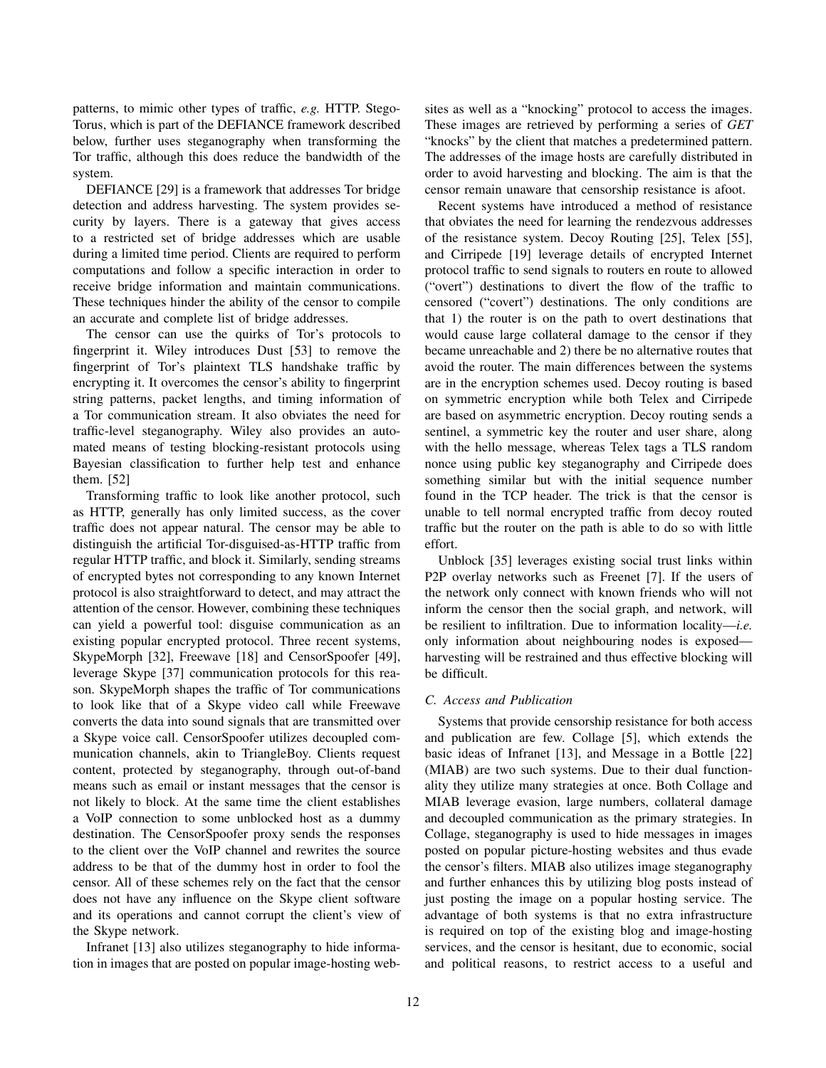patterns, to mimic other types of traffic, *e.g.* HTTP. Stego-Torus, which is part of the DEFIANCE framework described below, further uses steganography when transforming the Tor traffic, although this does reduce the bandwidth of the system.

DEFIANCE [29] is a framework that addresses Tor bridge detection and address harvesting. The system provides security by layers. There is a gateway that gives access to a restricted set of bridge addresses which are usable during a limited time period. Clients are required to perform computations and follow a specific interaction in order to receive bridge information and maintain communications. These techniques hinder the ability of the censor to compile an accurate and complete list of bridge addresses.

The censor can use the quirks of Tor's protocols to fingerprint it. Wiley introduces Dust [53] to remove the fingerprint of Tor's plaintext TLS handshake traffic by encrypting it. It overcomes the censor's ability to fingerprint string patterns, packet lengths, and timing information of a Tor communication stream. It also obviates the need for traffic-level steganography. Wiley also provides an automated means of testing blocking-resistant protocols using Bayesian classification to further help test and enhance them. [52]

Transforming traffic to look like another protocol, such as HTTP, generally has only limited success, as the cover traffic does not appear natural. The censor may be able to distinguish the artificial Tor-disguised-as-HTTP traffic from regular HTTP traffic, and block it. Similarly, sending streams of encrypted bytes not corresponding to any known Internet protocol is also straightforward to detect, and may attract the attention of the censor. However, combining these techniques can yield a powerful tool: disguise communication as an existing popular encrypted protocol. Three recent systems, SkypeMorph [32], Freewave [18] and CensorSpoofer [49], leverage Skype [37] communication protocols for this reason. SkypeMorph shapes the traffic of Tor communications to look like that of a Skype video call while Freewave converts the data into sound signals that are transmitted over a Skype voice call. CensorSpoofer utilizes decoupled communication channels, akin to TriangleBoy. Clients request content, protected by steganography, through out-of-band means such as email or instant messages that the censor is not likely to block. At the same time the client establishes a VoIP connection to some unblocked host as a dummy destination. The CensorSpoofer proxy sends the responses to the client over the VoIP channel and rewrites the source address to be that of the dummy host in order to fool the censor. All of these schemes rely on the fact that the censor does not have any influence on the Skype client software and its operations and cannot corrupt the client's view of the Skype network.

Infranet [13] also utilizes steganography to hide information in images that are posted on popular image-hosting websites as well as a "knocking" protocol to access the images. These images are retrieved by performing a series of *GET* "knocks" by the client that matches a predetermined pattern. The addresses of the image hosts are carefully distributed in order to avoid harvesting and blocking. The aim is that the censor remain unaware that censorship resistance is afoot.

Recent systems have introduced a method of resistance that obviates the need for learning the rendezvous addresses of the resistance system. Decoy Routing [25], Telex [55], and Cirripede [19] leverage details of encrypted Internet protocol traffic to send signals to routers en route to allowed ("overt") destinations to divert the flow of the traffic to censored ("covert") destinations. The only conditions are that 1) the router is on the path to overt destinations that would cause large collateral damage to the censor if they became unreachable and 2) there be no alternative routes that avoid the router. The main differences between the systems are in the encryption schemes used. Decoy routing is based on symmetric encryption while both Telex and Cirripede are based on asymmetric encryption. Decoy routing sends a sentinel, a symmetric key the router and user share, along with the hello message, whereas Telex tags a TLS random nonce using public key steganography and Cirripede does something similar but with the initial sequence number found in the TCP header. The trick is that the censor is unable to tell normal encrypted traffic from decoy routed traffic but the router on the path is able to do so with little effort.

Unblock [35] leverages existing social trust links within P2P overlay networks such as Freenet [7]. If the users of the network only connect with known friends who will not inform the censor then the social graph, and network, will be resilient to infiltration. Due to information locality—*i.e.* only information about neighbouring nodes is exposed harvesting will be restrained and thus effective blocking will be difficult.

#### *C. Access and Publication*

Systems that provide censorship resistance for both access and publication are few. Collage [5], which extends the basic ideas of Infranet [13], and Message in a Bottle [22] (MIAB) are two such systems. Due to their dual functionality they utilize many strategies at once. Both Collage and MIAB leverage evasion, large numbers, collateral damage and decoupled communication as the primary strategies. In Collage, steganography is used to hide messages in images posted on popular picture-hosting websites and thus evade the censor's filters. MIAB also utilizes image steganography and further enhances this by utilizing blog posts instead of just posting the image on a popular hosting service. The advantage of both systems is that no extra infrastructure is required on top of the existing blog and image-hosting services, and the censor is hesitant, due to economic, social and political reasons, to restrict access to a useful and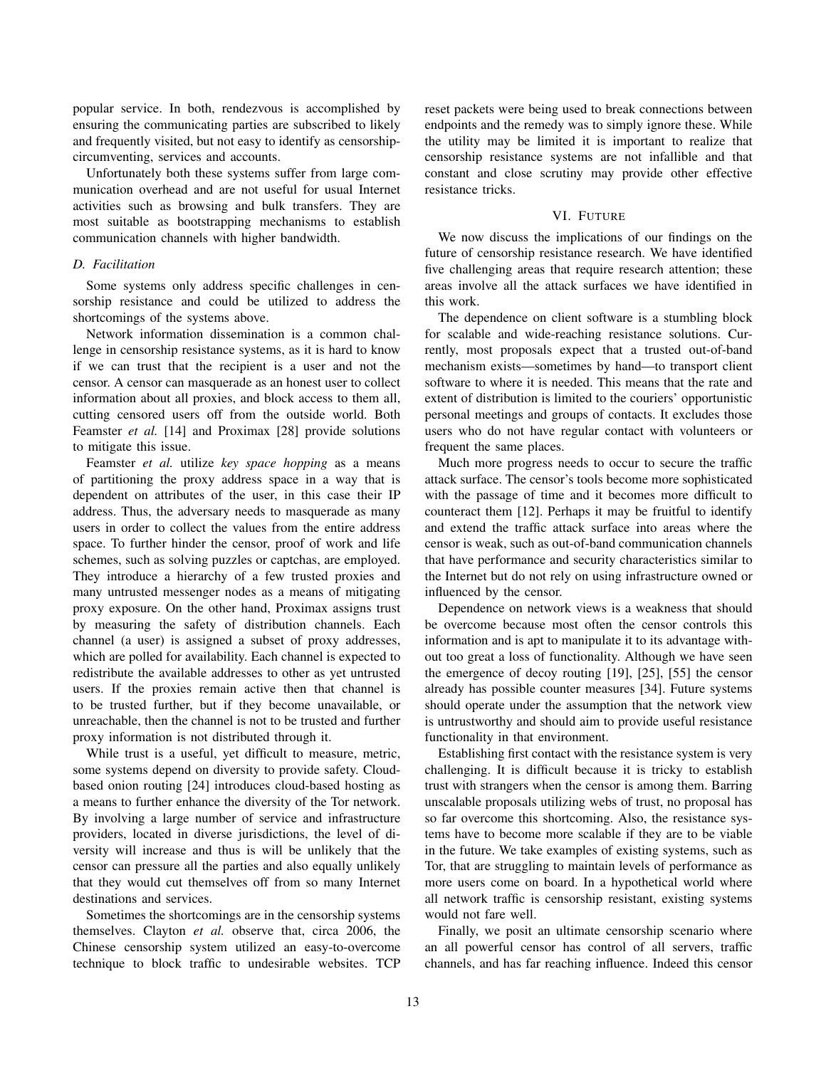popular service. In both, rendezvous is accomplished by ensuring the communicating parties are subscribed to likely and frequently visited, but not easy to identify as censorshipcircumventing, services and accounts.

Unfortunately both these systems suffer from large communication overhead and are not useful for usual Internet activities such as browsing and bulk transfers. They are most suitable as bootstrapping mechanisms to establish communication channels with higher bandwidth.

## *D. Facilitation*

Some systems only address specific challenges in censorship resistance and could be utilized to address the shortcomings of the systems above.

Network information dissemination is a common challenge in censorship resistance systems, as it is hard to know if we can trust that the recipient is a user and not the censor. A censor can masquerade as an honest user to collect information about all proxies, and block access to them all, cutting censored users off from the outside world. Both Feamster *et al.* [14] and Proximax [28] provide solutions to mitigate this issue.

Feamster *et al.* utilize *key space hopping* as a means of partitioning the proxy address space in a way that is dependent on attributes of the user, in this case their IP address. Thus, the adversary needs to masquerade as many users in order to collect the values from the entire address space. To further hinder the censor, proof of work and life schemes, such as solving puzzles or captchas, are employed. They introduce a hierarchy of a few trusted proxies and many untrusted messenger nodes as a means of mitigating proxy exposure. On the other hand, Proximax assigns trust by measuring the safety of distribution channels. Each channel (a user) is assigned a subset of proxy addresses, which are polled for availability. Each channel is expected to redistribute the available addresses to other as yet untrusted users. If the proxies remain active then that channel is to be trusted further, but if they become unavailable, or unreachable, then the channel is not to be trusted and further proxy information is not distributed through it.

While trust is a useful, yet difficult to measure, metric, some systems depend on diversity to provide safety. Cloudbased onion routing [24] introduces cloud-based hosting as a means to further enhance the diversity of the Tor network. By involving a large number of service and infrastructure providers, located in diverse jurisdictions, the level of diversity will increase and thus is will be unlikely that the censor can pressure all the parties and also equally unlikely that they would cut themselves off from so many Internet destinations and services.

Sometimes the shortcomings are in the censorship systems themselves. Clayton *et al.* observe that, circa 2006, the Chinese censorship system utilized an easy-to-overcome technique to block traffic to undesirable websites. TCP reset packets were being used to break connections between endpoints and the remedy was to simply ignore these. While the utility may be limited it is important to realize that censorship resistance systems are not infallible and that constant and close scrutiny may provide other effective resistance tricks.

#### VI. FUTURE

We now discuss the implications of our findings on the future of censorship resistance research. We have identified five challenging areas that require research attention; these areas involve all the attack surfaces we have identified in this work.

The dependence on client software is a stumbling block for scalable and wide-reaching resistance solutions. Currently, most proposals expect that a trusted out-of-band mechanism exists—sometimes by hand—to transport client software to where it is needed. This means that the rate and extent of distribution is limited to the couriers' opportunistic personal meetings and groups of contacts. It excludes those users who do not have regular contact with volunteers or frequent the same places.

Much more progress needs to occur to secure the traffic attack surface. The censor's tools become more sophisticated with the passage of time and it becomes more difficult to counteract them [12]. Perhaps it may be fruitful to identify and extend the traffic attack surface into areas where the censor is weak, such as out-of-band communication channels that have performance and security characteristics similar to the Internet but do not rely on using infrastructure owned or influenced by the censor.

Dependence on network views is a weakness that should be overcome because most often the censor controls this information and is apt to manipulate it to its advantage without too great a loss of functionality. Although we have seen the emergence of decoy routing [19], [25], [55] the censor already has possible counter measures [34]. Future systems should operate under the assumption that the network view is untrustworthy and should aim to provide useful resistance functionality in that environment.

Establishing first contact with the resistance system is very challenging. It is difficult because it is tricky to establish trust with strangers when the censor is among them. Barring unscalable proposals utilizing webs of trust, no proposal has so far overcome this shortcoming. Also, the resistance systems have to become more scalable if they are to be viable in the future. We take examples of existing systems, such as Tor, that are struggling to maintain levels of performance as more users come on board. In a hypothetical world where all network traffic is censorship resistant, existing systems would not fare well.

Finally, we posit an ultimate censorship scenario where an all powerful censor has control of all servers, traffic channels, and has far reaching influence. Indeed this censor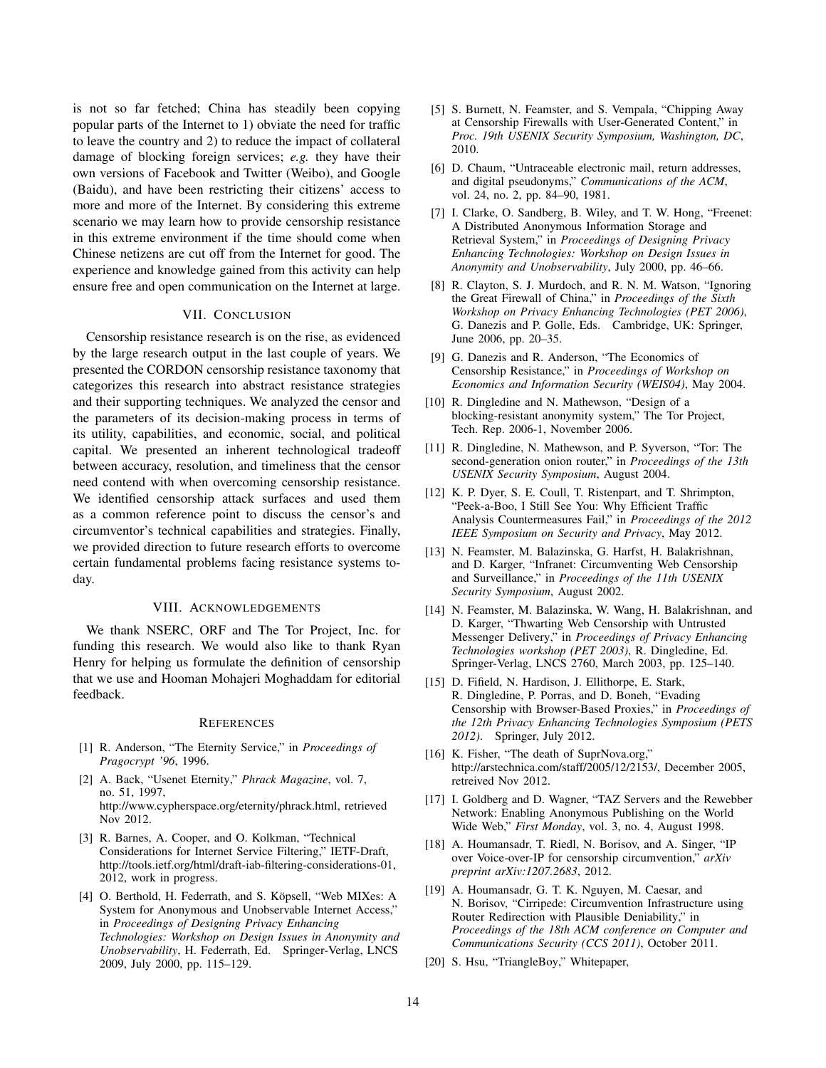is not so far fetched; China has steadily been copying popular parts of the Internet to 1) obviate the need for traffic to leave the country and 2) to reduce the impact of collateral damage of blocking foreign services; *e.g.* they have their own versions of Facebook and Twitter (Weibo), and Google (Baidu), and have been restricting their citizens' access to more and more of the Internet. By considering this extreme scenario we may learn how to provide censorship resistance in this extreme environment if the time should come when Chinese netizens are cut off from the Internet for good. The experience and knowledge gained from this activity can help ensure free and open communication on the Internet at large.

## VII. CONCLUSION

Censorship resistance research is on the rise, as evidenced by the large research output in the last couple of years. We presented the CORDON censorship resistance taxonomy that categorizes this research into abstract resistance strategies and their supporting techniques. We analyzed the censor and the parameters of its decision-making process in terms of its utility, capabilities, and economic, social, and political capital. We presented an inherent technological tradeoff between accuracy, resolution, and timeliness that the censor need contend with when overcoming censorship resistance. We identified censorship attack surfaces and used them as a common reference point to discuss the censor's and circumventor's technical capabilities and strategies. Finally, we provided direction to future research efforts to overcome certain fundamental problems facing resistance systems today.

#### VIII. ACKNOWLEDGEMENTS

We thank NSERC, ORF and The Tor Project, Inc. for funding this research. We would also like to thank Ryan Henry for helping us formulate the definition of censorship that we use and Hooman Mohajeri Moghaddam for editorial feedback.

#### **REFERENCES**

- [1] R. Anderson, "The Eternity Service," in *Proceedings of Pragocrypt '96*, 1996.
- [2] A. Back, "Usenet Eternity," *Phrack Magazine*, vol. 7, no. 51, 1997, http://www.cypherspace.org/eternity/phrack.html, retrieved Nov 2012.
- [3] R. Barnes, A. Cooper, and O. Kolkman, "Technical Considerations for Internet Service Filtering," IETF-Draft, http://tools.ietf.org/html/draft-iab-filtering-considerations-01, 2012, work in progress.
- [4] O. Berthold, H. Federrath, and S. Köpsell, "Web MIXes: A System for Anonymous and Unobservable Internet Access," in *Proceedings of Designing Privacy Enhancing Technologies: Workshop on Design Issues in Anonymity and Unobservability*, H. Federrath, Ed. Springer-Verlag, LNCS 2009, July 2000, pp. 115–129.
- [5] S. Burnett, N. Feamster, and S. Vempala, "Chipping Away at Censorship Firewalls with User-Generated Content," in *Proc. 19th USENIX Security Symposium, Washington, DC*, 2010.
- [6] D. Chaum, "Untraceable electronic mail, return addresses, and digital pseudonyms," *Communications of the ACM*, vol. 24, no. 2, pp. 84–90, 1981.
- [7] I. Clarke, O. Sandberg, B. Wiley, and T. W. Hong, "Freenet: A Distributed Anonymous Information Storage and Retrieval System," in *Proceedings of Designing Privacy Enhancing Technologies: Workshop on Design Issues in Anonymity and Unobservability*, July 2000, pp. 46–66.
- [8] R. Clayton, S. J. Murdoch, and R. N. M. Watson, "Ignoring the Great Firewall of China," in *Proceedings of the Sixth Workshop on Privacy Enhancing Technologies (PET 2006)*, G. Danezis and P. Golle, Eds. Cambridge, UK: Springer, June 2006, pp. 20–35.
- [9] G. Danezis and R. Anderson, "The Economics of Censorship Resistance," in *Proceedings of Workshop on Economics and Information Security (WEIS04)*, May 2004.
- [10] R. Dingledine and N. Mathewson, "Design of a blocking-resistant anonymity system," The Tor Project, Tech. Rep. 2006-1, November 2006.
- [11] R. Dingledine, N. Mathewson, and P. Syverson, "Tor: The second-generation onion router," in *Proceedings of the 13th USENIX Security Symposium*, August 2004.
- [12] K. P. Dyer, S. E. Coull, T. Ristenpart, and T. Shrimpton, "Peek-a-Boo, I Still See You: Why Efficient Traffic Analysis Countermeasures Fail," in *Proceedings of the 2012 IEEE Symposium on Security and Privacy*, May 2012.
- [13] N. Feamster, M. Balazinska, G. Harfst, H. Balakrishnan, and D. Karger, "Infranet: Circumventing Web Censorship and Surveillance," in *Proceedings of the 11th USENIX Security Symposium*, August 2002.
- [14] N. Feamster, M. Balazinska, W. Wang, H. Balakrishnan, and D. Karger, "Thwarting Web Censorship with Untrusted Messenger Delivery," in *Proceedings of Privacy Enhancing Technologies workshop (PET 2003)*, R. Dingledine, Ed. Springer-Verlag, LNCS 2760, March 2003, pp. 125–140.
- [15] D. Fifield, N. Hardison, J. Ellithorpe, E. Stark, R. Dingledine, P. Porras, and D. Boneh, "Evading Censorship with Browser-Based Proxies," in *Proceedings of the 12th Privacy Enhancing Technologies Symposium (PETS 2012)*. Springer, July 2012.
- [16] K. Fisher, "The death of SuprNova.org," http://arstechnica.com/staff/2005/12/2153/, December 2005, retreived Nov 2012.
- [17] I. Goldberg and D. Wagner, "TAZ Servers and the Rewebber Network: Enabling Anonymous Publishing on the World Wide Web," *First Monday*, vol. 3, no. 4, August 1998.
- [18] A. Houmansadr, T. Riedl, N. Borisov, and A. Singer, "IP over Voice-over-IP for censorship circumvention," *arXiv preprint arXiv:1207.2683*, 2012.
- [19] A. Houmansadr, G. T. K. Nguyen, M. Caesar, and N. Borisov, "Cirripede: Circumvention Infrastructure using Router Redirection with Plausible Deniability," in *Proceedings of the 18th ACM conference on Computer and Communications Security (CCS 2011)*, October 2011.
- [20] S. Hsu, "TriangleBoy," Whitepaper,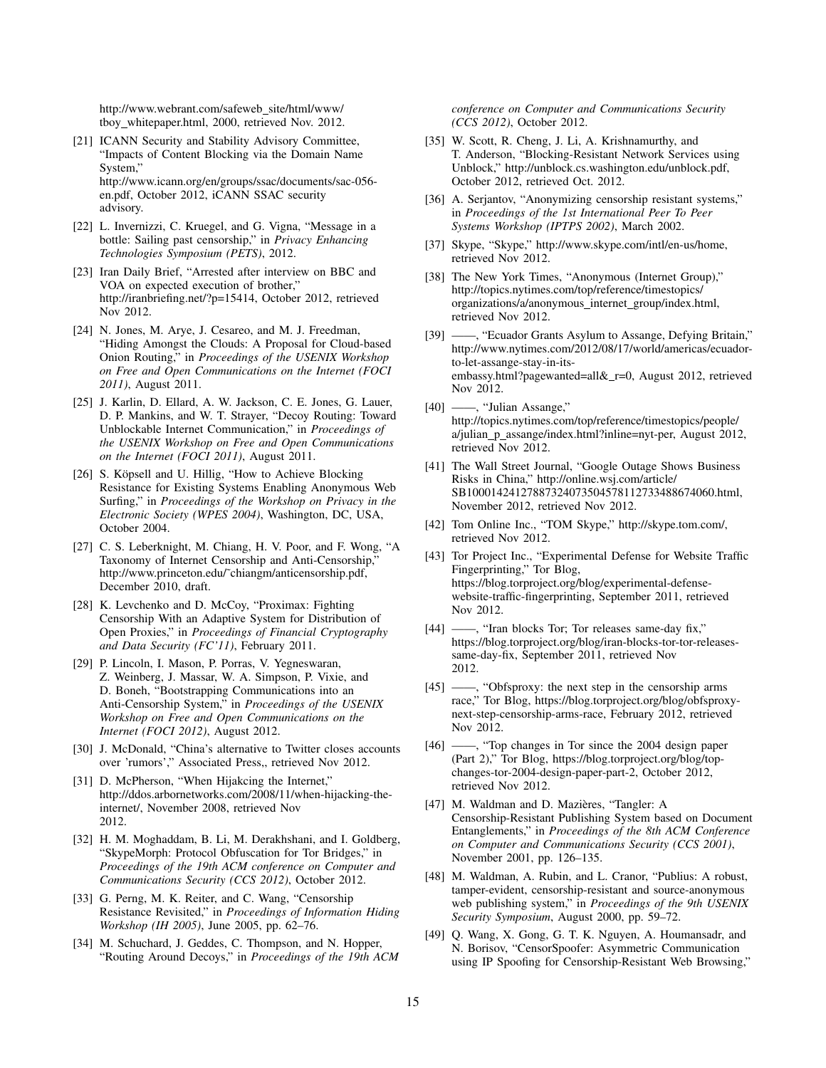http://www.webrant.com/safeweb\_site/html/www/ tboy whitepaper.html, 2000, retrieved Nov. 2012.

- [21] ICANN Security and Stability Advisory Committee, "Impacts of Content Blocking via the Domain Name System," http://www.icann.org/en/groups/ssac/documents/sac-056 en.pdf, October 2012, iCANN SSAC security advisory.
- [22] L. Invernizzi, C. Kruegel, and G. Vigna, "Message in a bottle: Sailing past censorship," in *Privacy Enhancing Technologies Symposium (PETS)*, 2012.
- [23] Iran Daily Brief, "Arrested after interview on BBC and VOA on expected execution of brother," http://iranbriefing.net/?p=15414, October 2012, retrieved Nov 2012.
- [24] N. Jones, M. Arye, J. Cesareo, and M. J. Freedman, "Hiding Amongst the Clouds: A Proposal for Cloud-based Onion Routing," in *Proceedings of the USENIX Workshop on Free and Open Communications on the Internet (FOCI 2011)*, August 2011.
- [25] J. Karlin, D. Ellard, A. W. Jackson, C. E. Jones, G. Lauer, D. P. Mankins, and W. T. Strayer, "Decoy Routing: Toward Unblockable Internet Communication," in *Proceedings of the USENIX Workshop on Free and Open Communications on the Internet (FOCI 2011)*, August 2011.
- [26] S. Köpsell and U. Hillig, "How to Achieve Blocking Resistance for Existing Systems Enabling Anonymous Web Surfing," in *Proceedings of the Workshop on Privacy in the Electronic Society (WPES 2004)*, Washington, DC, USA, October 2004.
- [27] C. S. Leberknight, M. Chiang, H. V. Poor, and F. Wong, "A Taxonomy of Internet Censorship and Anti-Censorship," http://www.princeton.edu/˜chiangm/anticensorship.pdf, December 2010, draft.
- [28] K. Levchenko and D. McCoy, "Proximax: Fighting Censorship With an Adaptive System for Distribution of Open Proxies," in *Proceedings of Financial Cryptography and Data Security (FC'11)*, February 2011.
- [29] P. Lincoln, I. Mason, P. Porras, V. Yegneswaran, Z. Weinberg, J. Massar, W. A. Simpson, P. Vixie, and D. Boneh, "Bootstrapping Communications into an Anti-Censorship System," in *Proceedings of the USENIX Workshop on Free and Open Communications on the Internet (FOCI 2012)*, August 2012.
- [30] J. McDonald, "China's alternative to Twitter closes accounts over 'rumors'," Associated Press,, retrieved Nov 2012.
- [31] D. McPherson, "When Hijakcing the Internet," http://ddos.arbornetworks.com/2008/11/when-hijacking-theinternet/, November 2008, retrieved Nov 2012.
- [32] H. M. Moghaddam, B. Li, M. Derakhshani, and I. Goldberg, "SkypeMorph: Protocol Obfuscation for Tor Bridges," in *Proceedings of the 19th ACM conference on Computer and Communications Security (CCS 2012)*, October 2012.
- [33] G. Perng, M. K. Reiter, and C. Wang, "Censorship Resistance Revisited," in *Proceedings of Information Hiding Workshop (IH 2005)*, June 2005, pp. 62–76.
- [34] M. Schuchard, J. Geddes, C. Thompson, and N. Hopper, "Routing Around Decoys," in *Proceedings of the 19th ACM*

*conference on Computer and Communications Security (CCS 2012)*, October 2012.

- [35] W. Scott, R. Cheng, J. Li, A. Krishnamurthy, and T. Anderson, "Blocking-Resistant Network Services using Unblock," http://unblock.cs.washington.edu/unblock.pdf, October 2012, retrieved Oct. 2012.
- [36] A. Serjantov, "Anonymizing censorship resistant systems," in *Proceedings of the 1st International Peer To Peer Systems Workshop (IPTPS 2002)*, March 2002.
- [37] Skype, "Skype," http://www.skype.com/intl/en-us/home, retrieved Nov 2012.
- [38] The New York Times, "Anonymous (Internet Group)," http://topics.nytimes.com/top/reference/timestopics/ organizations/a/anonymous\_internet\_group/index.html, retrieved Nov 2012.
- [39] ——, "Ecuador Grants Asylum to Assange, Defying Britain," http://www.nytimes.com/2012/08/17/world/americas/ecuadorto-let-assange-stay-in-itsembassy.html?pagewanted=all&\_r=0, August 2012, retrieved Nov 2012.
- [40] ——, "Julian Assange," http://topics.nytimes.com/top/reference/timestopics/people/ a/julian p assange/index.html?inline=nyt-per, August 2012, retrieved Nov 2012.
- [41] The Wall Street Journal, "Google Outage Shows Business Risks in China," http://online.wsj.com/article/ SB10001424127887324073504578112733488674060.html, November 2012, retrieved Nov 2012.
- [42] Tom Online Inc., "TOM Skype," http://skype.tom.com/, retrieved Nov 2012.
- [43] Tor Project Inc., "Experimental Defense for Website Traffic Fingerprinting," Tor Blog, https://blog.torproject.org/blog/experimental-defensewebsite-traffic-fingerprinting, September 2011, retrieved Nov 2012.
- [44] ——, "Iran blocks Tor; Tor releases same-day fix," https://blog.torproject.org/blog/iran-blocks-tor-tor-releasessame-day-fix, September 2011, retrieved Nov 2012.
- [45] ——, "Obfsproxy: the next step in the censorship arms race," Tor Blog, https://blog.torproject.org/blog/obfsproxynext-step-censorship-arms-race, February 2012, retrieved Nov 2012.
- [46] ——, "Top changes in Tor since the 2004 design paper (Part 2)," Tor Blog, https://blog.torproject.org/blog/topchanges-tor-2004-design-paper-part-2, October 2012, retrieved Nov 2012.
- [47] M. Waldman and D. Mazières, "Tangler: A Censorship-Resistant Publishing System based on Document Entanglements," in *Proceedings of the 8th ACM Conference on Computer and Communications Security (CCS 2001)*, November 2001, pp. 126–135.
- [48] M. Waldman, A. Rubin, and L. Cranor, "Publius: A robust, tamper-evident, censorship-resistant and source-anonymous web publishing system," in *Proceedings of the 9th USENIX Security Symposium*, August 2000, pp. 59–72.
- [49] Q. Wang, X. Gong, G. T. K. Nguyen, A. Houmansadr, and N. Borisov, "CensorSpoofer: Asymmetric Communication using IP Spoofing for Censorship-Resistant Web Browsing,"